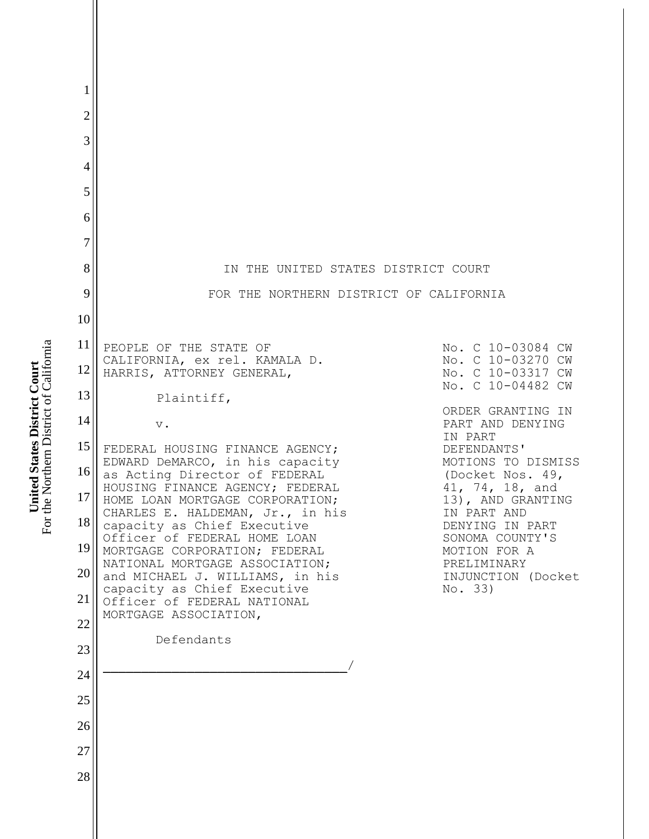| 1              |                                                                                               |                                        |
|----------------|-----------------------------------------------------------------------------------------------|----------------------------------------|
| $\overline{2}$ |                                                                                               |                                        |
| 3              |                                                                                               |                                        |
| $\overline{4}$ |                                                                                               |                                        |
| 5              |                                                                                               |                                        |
| 6              |                                                                                               |                                        |
| $\tau$         |                                                                                               |                                        |
| 8              | IN THE UNITED STATES DISTRICT COURT                                                           |                                        |
| 9              | FOR THE NORTHERN DISTRICT OF CALIFORNIA                                                       |                                        |
| 10             |                                                                                               |                                        |
| 11             | PEOPLE OF THE STATE OF<br>CALIFORNIA, ex rel. KAMALA D.                                       | No. C 10-03084 CW<br>No. C 10-03270 CW |
| 12             | HARRIS, ATTORNEY GENERAL,                                                                     | No. C 10-03317 CW<br>No. C 10-04482 CW |
| 13             | Plaintiff,                                                                                    | ORDER GRANTING IN                      |
| 14             | $\mathbf v$ .                                                                                 | PART AND DENYING<br>IN PART            |
| 15             | FEDERAL HOUSING FINANCE AGENCY;<br>EDWARD DeMARCO, in his capacity                            | DEFENDANTS'<br>MOTIONS TO DISMISS      |
| $16$           | as Acting Director of FEDERAL<br>HOUSING FINANCE AGENCY; FEDERAL                              | (Docket Nos. 49,<br>41, 74, 18, and    |
| 17             | HOME LOAN MORTGAGE CORPORATION;<br>CHARLES E. HALDEMAN, Jr., in his                           | 13), AND GRANTING<br>IN PART AND       |
| 18<br>19       | capacity as Chief Executive<br>Officer of FEDERAL HOME LOAN                                   | DENYING IN PART<br>SONOMA COUNTY'S     |
| 20             | MORTGAGE CORPORATION; FEDERAL<br>NATIONAL MORTGAGE ASSOCIATION;                               | MOTION FOR A<br>PRELIMINARY            |
| 21             | and MICHAEL J. WILLIAMS, in his<br>capacity as Chief Executive<br>Officer of FEDERAL NATIONAL | INJUNCTION (Docket<br>No. 33)          |
| 22             | MORTGAGE ASSOCIATION,                                                                         |                                        |
| 23             | Defendants                                                                                    |                                        |
| 24             |                                                                                               |                                        |
| 25             |                                                                                               |                                        |
| 26             |                                                                                               |                                        |
| 27             |                                                                                               |                                        |
| 28             |                                                                                               |                                        |
|                |                                                                                               |                                        |
|                |                                                                                               |                                        |

**United States District Court**<br>For the Northern District of California For the Northern District of California **United States District Court**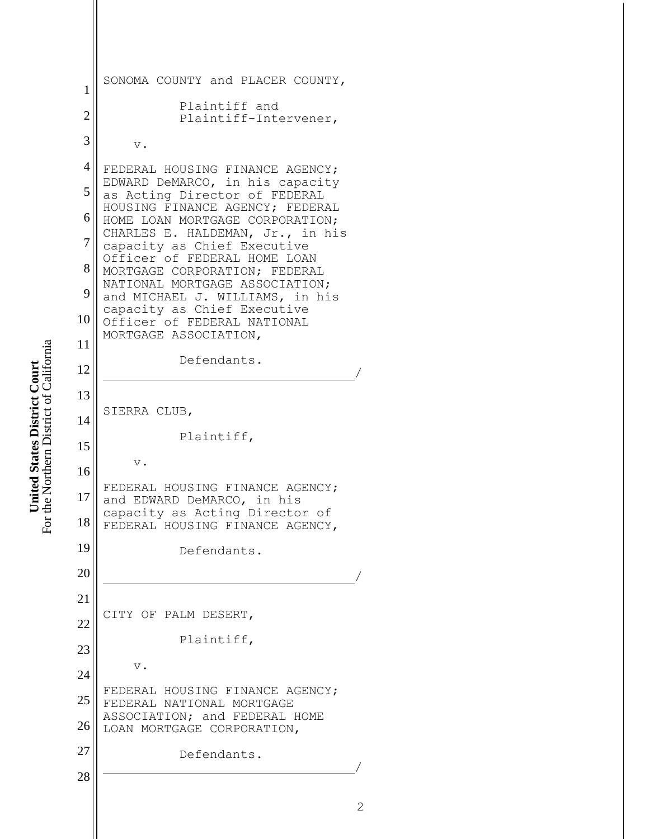```
1
2
3
4
5
6
7
8
9
10
11
12
13
14
15
16
17
18
19
20
21
22
23
24
25
26
27
28
   SONOMA COUNTY and PLACER COUNTY,
             Plaintiff and 
             Plaintiff-Intervener,
        v.
   FEDERAL HOUSING FINANCE AGENCY; 
   EDWARD DeMARCO, in his capacity 
   as Acting Director of FEDERAL 
   HOUSING FINANCE AGENCY; FEDERAL 
   HOME LOAN MORTGAGE CORPORATION; 
   CHARLES E. HALDEMAN, Jr., in his 
   capacity as Chief Executive 
   Officer of FEDERAL HOME LOAN 
   MORTGAGE CORPORATION; FEDERAL 
   NATIONAL MORTGAGE ASSOCIATION; 
   and MICHAEL J. WILLIAMS, in his 
   capacity as Chief Executive 
   Officer of FEDERAL NATIONAL 
   MORTGAGE ASSOCIATION,
             Defendants.
    /
   SIERRA CLUB,
             Plaintiff,
        v.
   FEDERAL HOUSING FINANCE AGENCY; 
   and EDWARD DeMARCO, in his 
   capacity as Acting Director of 
   FEDERAL HOUSING FINANCE AGENCY,
             Defendants.
    /
   Ξ
   CITY OF PALM DESERT,
             Plaintiff,
        v.
   FEDERAL HOUSING FINANCE AGENCY; 
   FEDERAL NATIONAL MORTGAGE 
   ASSOCIATION; and FEDERAL HOME 
   LOAN MORTGAGE CORPORATION,
             Defendants.
    /
```

```
For the Northern District of California
                                         For the Northern District of California
United States District Court
        United States District Court
```

```
2
```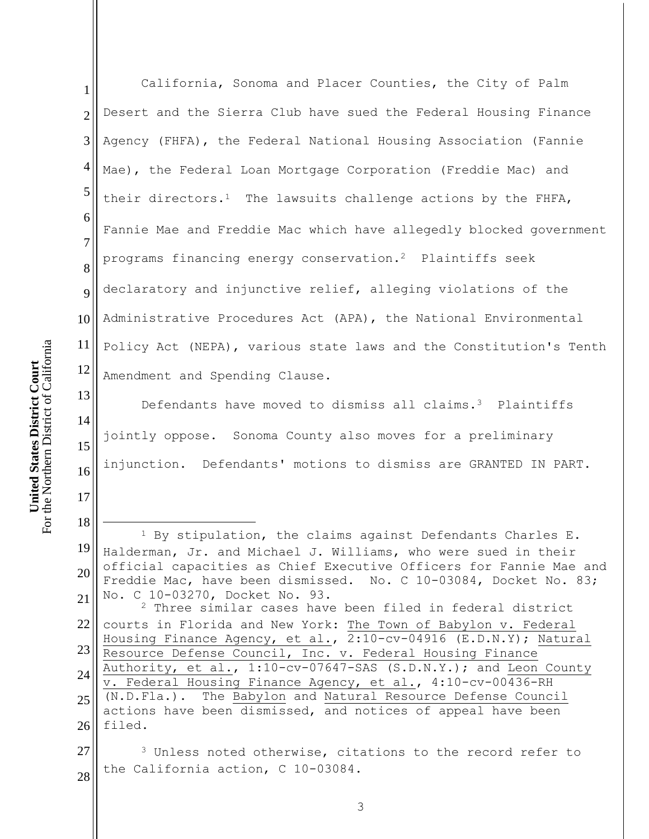17

18

 $\overline{a}$ 

1 2 3 4 5 6 7 8 9 10 11 12 California, Sonoma and Placer Counties, the City of Palm Desert and the Sierra Club have sued the Federal Housing Finance Agency (FHFA), the Federal National Housing Association (Fannie Mae), the Federal Loan Mortgage Corporation (Freddie Mac) and their directors.<sup>1</sup> The lawsuits challenge actions by the FHFA, Fannie Mae and Freddie Mac which have allegedly blocked government programs financing energy conservation.2 Plaintiffs seek declaratory and injunctive relief, alleging violations of the Administrative Procedures Act (APA), the National Environmental Policy Act (NEPA), various state laws and the Constitution's Tenth Amendment and Spending Clause.

13 14 15 16 Defendants have moved to dismiss all claims.<sup>3</sup> Plaintiffs jointly oppose. Sonoma County also moves for a preliminary injunction. Defendants' motions to dismiss are GRANTED IN PART.

19 20 21 <sup>1</sup> By stipulation, the claims against Defendants Charles E. Halderman, Jr. and Michael J. Williams, who were sued in their official capacities as Chief Executive Officers for Fannie Mae and Freddie Mac, have been dismissed. No. C 10-03084, Docket No. 83; No. C 10-03270, Docket No. 93.

22 23 24 25 26 <sup>2</sup> Three similar cases have been filed in federal district courts in Florida and New York: The Town of Babylon v. Federal Housing Finance Agency, et al., 2:10-cv-04916 (E.D.N.Y); Natural Resource Defense Council, Inc. v. Federal Housing Finance Authority, et al., 1:10-cv-07647-SAS (S.D.N.Y.); and Leon County v. Federal Housing Finance Agency, et al., 4:10-cv-00436-RH (N.D.Fla.). The Babylon and Natural Resource Defense Council actions have been dismissed, and notices of appeal have been filed.

27 28 <sup>3</sup> Unless noted otherwise, citations to the record refer to the California action, C 10-03084.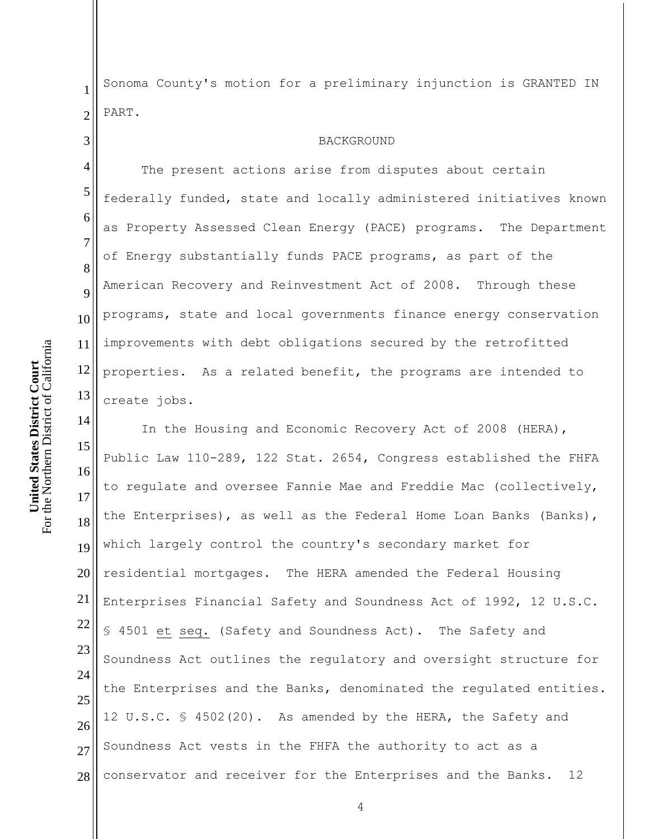1 2 Sonoma County's motion for a preliminary injunction is GRANTED IN PART.

## BACKGROUND

The present actions arise from disputes about certain federally funded, state and locally administered initiatives known as Property Assessed Clean Energy (PACE) programs. The Department of Energy substantially funds PACE programs, as part of the American Recovery and Reinvestment Act of 2008. Through these programs, state and local governments finance energy conservation improvements with debt obligations secured by the retrofitted properties. As a related benefit, the programs are intended to create jobs.

15 16 17 18 19 20 21 22 23 24 25 26 27 28 In the Housing and Economic Recovery Act of 2008 (HERA), Public Law 110-289, 122 Stat. 2654, Congress established the FHFA to regulate and oversee Fannie Mae and Freddie Mac (collectively, the Enterprises), as well as the Federal Home Loan Banks (Banks), which largely control the country's secondary market for residential mortgages. The HERA amended the Federal Housing Enterprises Financial Safety and Soundness Act of 1992, 12 U.S.C. § 4501 et seq. (Safety and Soundness Act). The Safety and Soundness Act outlines the regulatory and oversight structure for the Enterprises and the Banks, denominated the regulated entities. 12 U.S.C. § 4502(20). As amended by the HERA, the Safety and Soundness Act vests in the FHFA the authority to act as a conservator and receiver for the Enterprises and the Banks. 12

3

4

5

6

7

8

9

10

11

12

13

14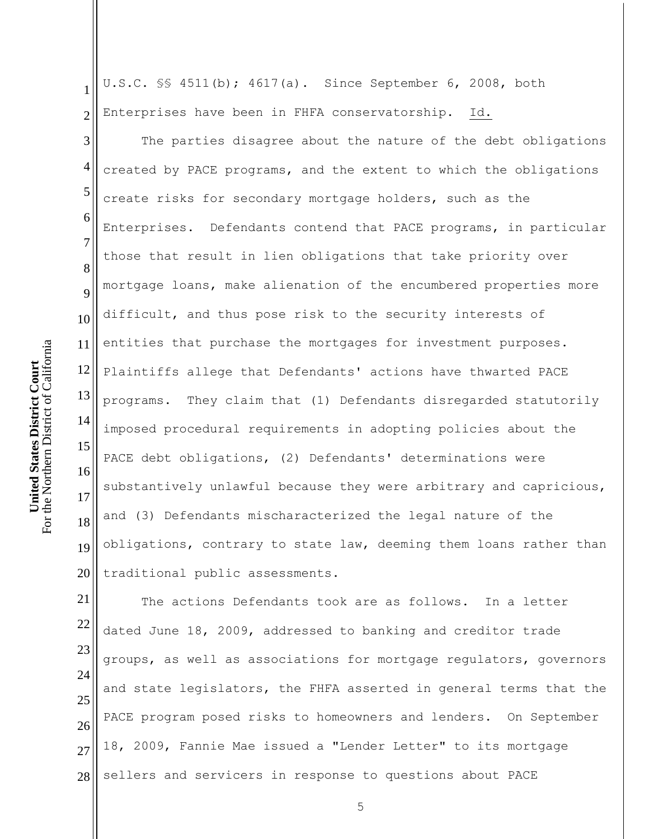1 2 U.S.C. §§ 4511(b); 4617(a). Since September 6, 2008, both Enterprises have been in FHFA conservatorship. Id.

3 4 5 6 7 8 9 10 11 12 13 14 15 16 17 18 19 20 The parties disagree about the nature of the debt obligations created by PACE programs, and the extent to which the obligations create risks for secondary mortgage holders, such as the Enterprises. Defendants contend that PACE programs, in particular those that result in lien obligations that take priority over mortgage loans, make alienation of the encumbered properties more difficult, and thus pose risk to the security interests of entities that purchase the mortgages for investment purposes. Plaintiffs allege that Defendants' actions have thwarted PACE programs. They claim that (1) Defendants disregarded statutorily imposed procedural requirements in adopting policies about the PACE debt obligations, (2) Defendants' determinations were substantively unlawful because they were arbitrary and capricious, and (3) Defendants mischaracterized the legal nature of the obligations, contrary to state law, deeming them loans rather than traditional public assessments.

21 22 23 24 25 26 27 28 The actions Defendants took are as follows. In a letter dated June 18, 2009, addressed to banking and creditor trade groups, as well as associations for mortgage regulators, governors and state legislators, the FHFA asserted in general terms that the PACE program posed risks to homeowners and lenders. On September 18, 2009, Fannie Mae issued a "Lender Letter" to its mortgage sellers and servicers in response to questions about PACE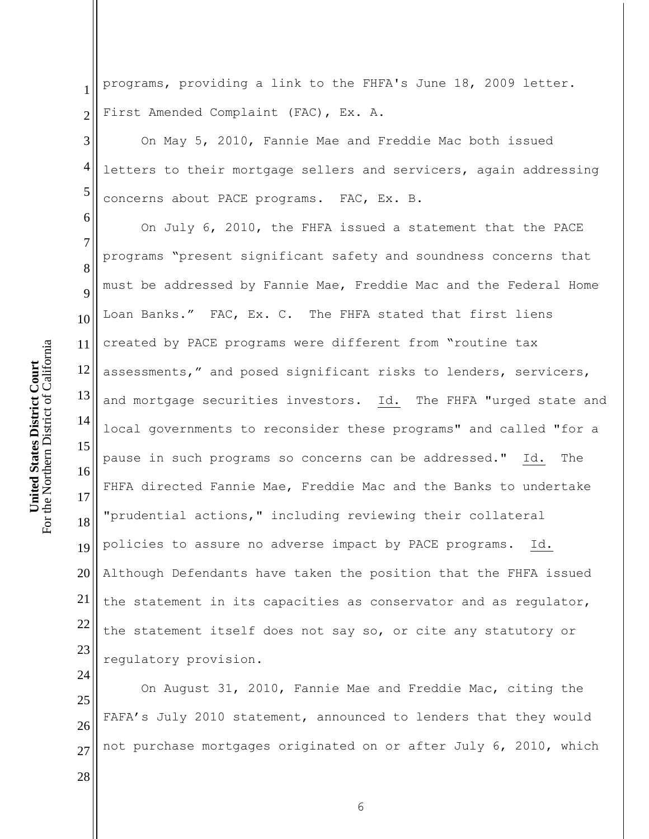6

1 2 programs, providing a link to the FHFA's June 18, 2009 letter. First Amended Complaint (FAC), Ex. A.

3 4 5 On May 5, 2010, Fannie Mae and Freddie Mac both issued letters to their mortgage sellers and servicers, again addressing concerns about PACE programs. FAC, Ex. B.

7 8 9 10 11 12 13 14 15 16 17 18 19 20 21 22 23 On July 6, 2010, the FHFA issued a statement that the PACE programs "present significant safety and soundness concerns that must be addressed by Fannie Mae, Freddie Mac and the Federal Home Loan Banks." FAC, Ex. C. The FHFA stated that first liens created by PACE programs were different from "routine tax assessments," and posed significant risks to lenders, servicers, and mortgage securities investors. Id. The FHFA "urged state and local governments to reconsider these programs" and called "for a pause in such programs so concerns can be addressed." Id. The FHFA directed Fannie Mae, Freddie Mac and the Banks to undertake "prudential actions," including reviewing their collateral policies to assure no adverse impact by PACE programs. Id. Although Defendants have taken the position that the FHFA issued the statement in its capacities as conservator and as regulator, the statement itself does not say so, or cite any statutory or regulatory provision.

25 26 27 On August 31, 2010, Fannie Mae and Freddie Mac, citing the FAFA's July 2010 statement, announced to lenders that they would not purchase mortgages originated on or after July 6, 2010, which

28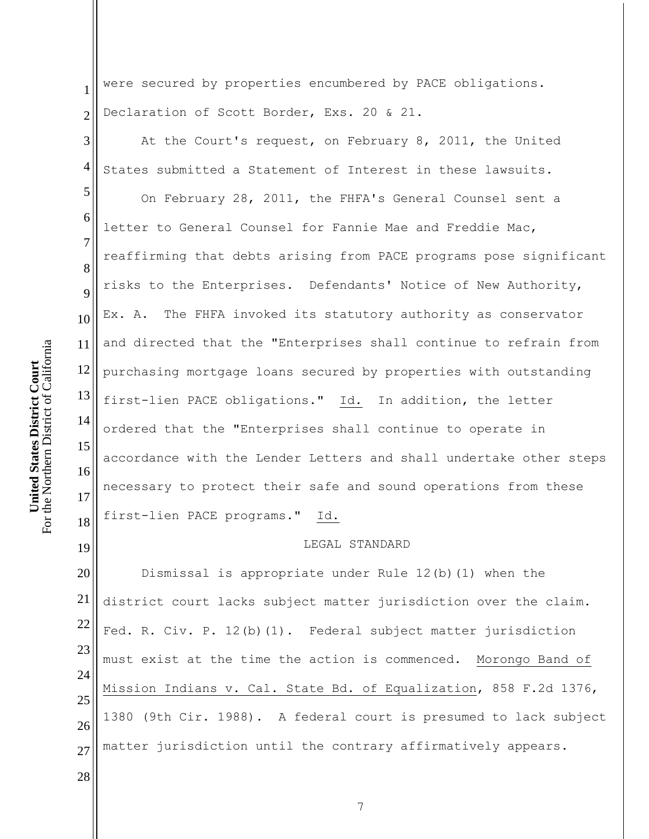1 2 were secured by properties encumbered by PACE obligations. Declaration of Scott Border, Exs. 20 & 21.

3 4 At the Court's request, on February 8, 2011, the United States submitted a Statement of Interest in these lawsuits.

5 6 8 9 12 13 14 15 16 17 18 On February 28, 2011, the FHFA's General Counsel sent a letter to General Counsel for Fannie Mae and Freddie Mac, reaffirming that debts arising from PACE programs pose significant risks to the Enterprises. Defendants' Notice of New Authority, Ex. A. The FHFA invoked its statutory authority as conservator and directed that the "Enterprises shall continue to refrain from purchasing mortgage loans secured by properties with outstanding first-lien PACE obligations." Id. In addition, the letter ordered that the "Enterprises shall continue to operate in accordance with the Lender Letters and shall undertake other steps necessary to protect their safe and sound operations from these first-lien PACE programs." Id.

## LEGAL STANDARD

20 21 22 23 24 25 26 27 Dismissal is appropriate under Rule 12(b)(1) when the district court lacks subject matter jurisdiction over the claim. Fed. R. Civ. P. 12(b)(1). Federal subject matter jurisdiction must exist at the time the action is commenced. Morongo Band of Mission Indians v. Cal. State Bd. of Equalization, 858 F.2d 1376, 1380 (9th Cir. 1988). A federal court is presumed to lack subject matter jurisdiction until the contrary affirmatively appears.

For the Northern District of California For the Northern District of California **United States District Court United States District Court**

7

10

11

19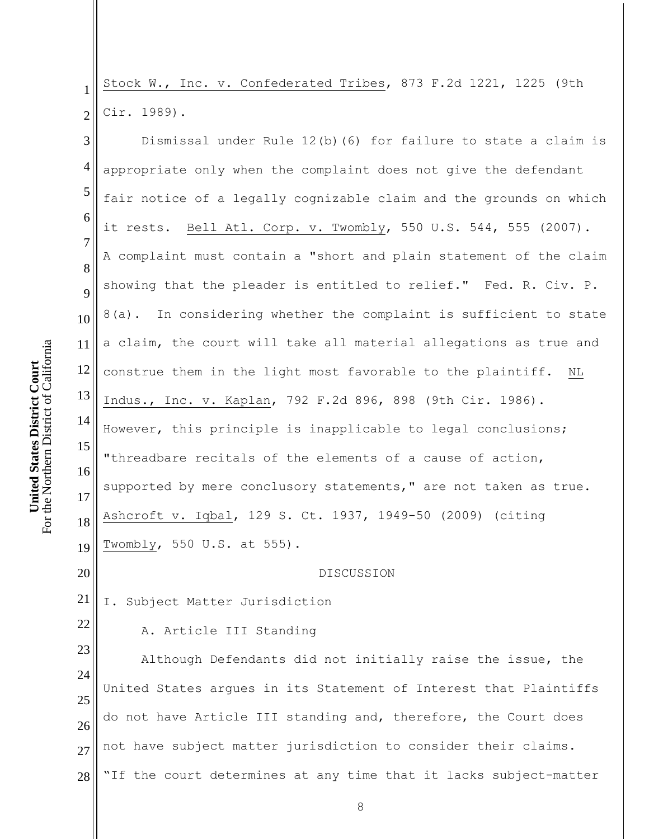1 2 Stock W., Inc. v. Confederated Tribes, 873 F.2d 1221, 1225 (9th Cir. 1989).

3 4 5 6 7 8 9 10 11 12 13 14 15 16 17 18 19 Dismissal under Rule 12(b)(6) for failure to state a claim is appropriate only when the complaint does not give the defendant fair notice of a legally cognizable claim and the grounds on which it rests. Bell Atl. Corp. v. Twombly, 550 U.S. 544, 555 (2007). A complaint must contain a "short and plain statement of the claim showing that the pleader is entitled to relief." Fed. R. Civ. P. 8(a). In considering whether the complaint is sufficient to state a claim, the court will take all material allegations as true and construe them in the light most favorable to the plaintiff. NL Indus., Inc. v. Kaplan, 792 F.2d 896, 898 (9th Cir. 1986). However, this principle is inapplicable to legal conclusions; "threadbare recitals of the elements of a cause of action, supported by mere conclusory statements," are not taken as true. Ashcroft v. Iqbal, 129 S. Ct. 1937, 1949-50 (2009) (citing Twombly, 550 U.S. at 555).

DISCUSSION

21 I. Subject Matter Jurisdiction

A. Article III Standing

23 24 25 26 27 28 Although Defendants did not initially raise the issue, the United States argues in its Statement of Interest that Plaintiffs do not have Article III standing and, therefore, the Court does not have subject matter jurisdiction to consider their claims. "If the court determines at any time that it lacks subject-matter

20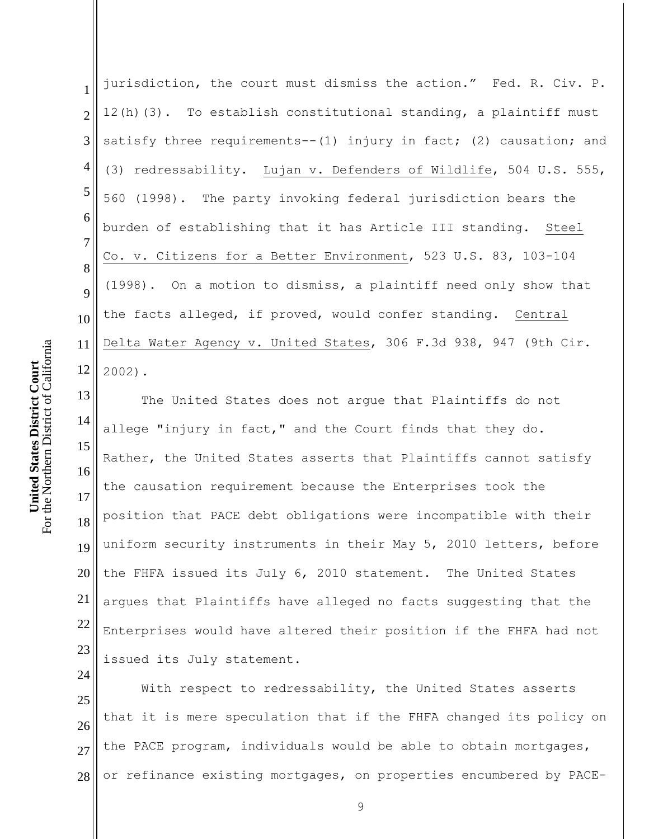1 2 3 4 5 6 7 8 9 10 11 12 jurisdiction, the court must dismiss the action." Fed. R. Civ. P. 12(h)(3). To establish constitutional standing, a plaintiff must satisfy three requirements--(1) injury in fact; (2) causation; and (3) redressability. Lujan v. Defenders of Wildlife, 504 U.S. 555, 560 (1998). The party invoking federal jurisdiction bears the burden of establishing that it has Article III standing. Steel Co. v. Citizens for a Better Environment, 523 U.S. 83, 103-104 (1998). On a motion to dismiss, a plaintiff need only show that the facts alleged, if proved, would confer standing. Central Delta Water Agency v. United States, 306 F.3d 938, 947 (9th Cir. 2002).

13 14 15 16 17 18 19 20 21 22 23 The United States does not argue that Plaintiffs do not allege "injury in fact," and the Court finds that they do. Rather, the United States asserts that Plaintiffs cannot satisfy the causation requirement because the Enterprises took the position that PACE debt obligations were incompatible with their uniform security instruments in their May 5, 2010 letters, before the FHFA issued its July 6, 2010 statement. The United States argues that Plaintiffs have alleged no facts suggesting that the Enterprises would have altered their position if the FHFA had not issued its July statement.

25 26 27 28 With respect to redressability, the United States asserts that it is mere speculation that if the FHFA changed its policy on the PACE program, individuals would be able to obtain mortgages, or refinance existing mortgages, on properties encumbered by PACE-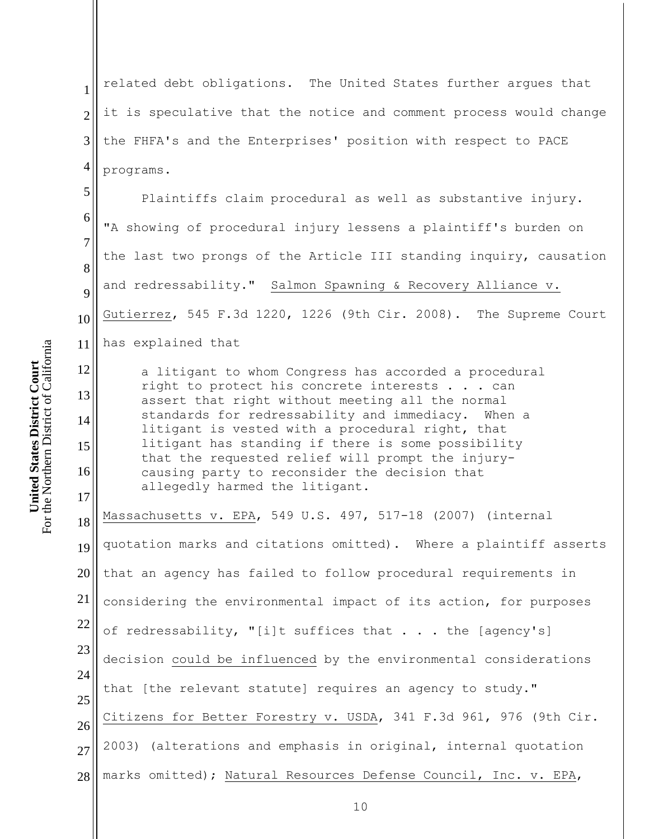1 2 3 4 related debt obligations. The United States further argues that it is speculative that the notice and comment process would change the FHFA's and the Enterprises' position with respect to PACE programs.

5 6 7 8 9 10 11 12 Plaintiffs claim procedural as well as substantive injury. "A showing of procedural injury lessens a plaintiff's burden on the last two prongs of the Article III standing inquiry, causation and redressability." Salmon Spawning & Recovery Alliance v. Gutierrez, 545 F.3d 1220, 1226 (9th Cir. 2008). The Supreme Court has explained that a litigant to whom Congress has accorded a procedural

right to protect his concrete interests . . . can assert that right without meeting all the normal standards for redressability and immediacy. When a litigant is vested with a procedural right, that litigant has standing if there is some possibility that the requested relief will prompt the injurycausing party to reconsider the decision that allegedly harmed the litigant.

18 19 20 21 22 23 24 25 26 27 28 Massachusetts v. EPA, 549 U.S. 497, 517-18 (2007) (internal quotation marks and citations omitted). Where a plaintiff asserts that an agency has failed to follow procedural requirements in considering the environmental impact of its action, for purposes of redressability, "[i]t suffices that . . . the [agency's] decision could be influenced by the environmental considerations that [the relevant statute] requires an agency to study." Citizens for Better Forestry v. USDA, 341 F.3d 961, 976 (9th Cir. 2003) (alterations and emphasis in original, internal quotation marks omitted); Natural Resources Defense Council, Inc. v. EPA,

13

14

15

16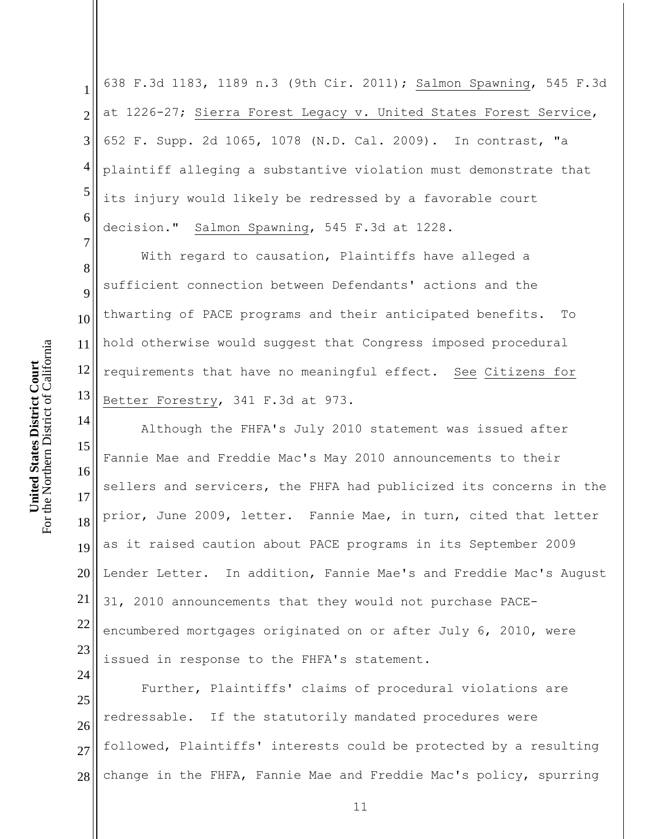1 2 3 4 5 6 7 638 F.3d 1183, 1189 n.3 (9th Cir. 2011); Salmon Spawning, 545 F.3d at 1226-27; Sierra Forest Legacy v. United States Forest Service, 652 F. Supp. 2d 1065, 1078 (N.D. Cal. 2009). In contrast, "a plaintiff alleging a substantive violation must demonstrate that its injury would likely be redressed by a favorable court decision." Salmon Spawning, 545 F.3d at 1228.

8 9 10 11 12 13 With regard to causation, Plaintiffs have alleged a sufficient connection between Defendants' actions and the thwarting of PACE programs and their anticipated benefits. To hold otherwise would suggest that Congress imposed procedural requirements that have no meaningful effect. See Citizens for Better Forestry, 341 F.3d at 973.

14 15 16 17 18 19 20 21 22 23 Although the FHFA's July 2010 statement was issued after Fannie Mae and Freddie Mac's May 2010 announcements to their sellers and servicers, the FHFA had publicized its concerns in the prior, June 2009, letter. Fannie Mae, in turn, cited that letter as it raised caution about PACE programs in its September 2009 Lender Letter. In addition, Fannie Mae's and Freddie Mac's August 31, 2010 announcements that they would not purchase PACEencumbered mortgages originated on or after July 6, 2010, were issued in response to the FHFA's statement.

25 26 27 28 Further, Plaintiffs' claims of procedural violations are redressable. If the statutorily mandated procedures were followed, Plaintiffs' interests could be protected by a resulting change in the FHFA, Fannie Mae and Freddie Mac's policy, spurring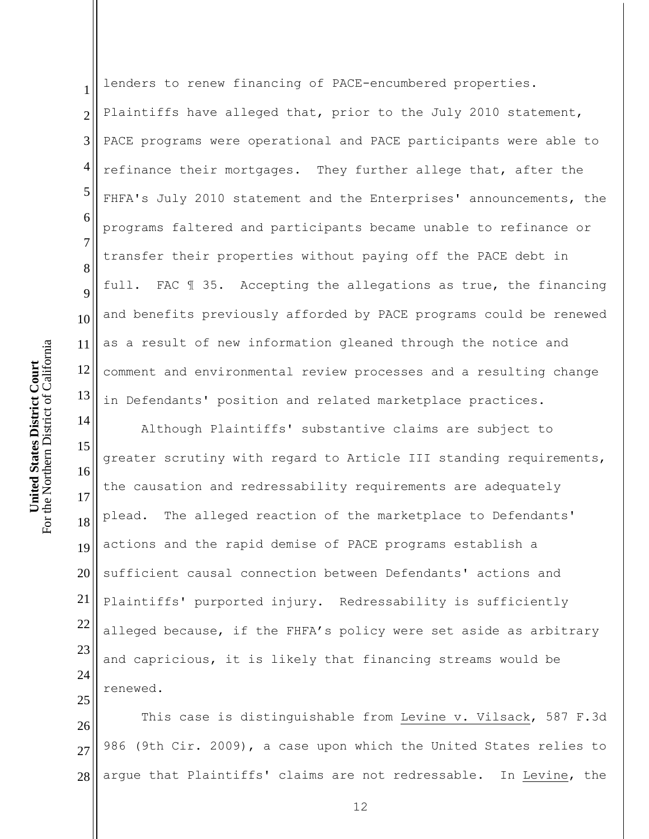1 2 3 4 5 6 7 8 9 10 11 12 13 lenders to renew financing of PACE-encumbered properties. Plaintiffs have alleged that, prior to the July 2010 statement, PACE programs were operational and PACE participants were able to refinance their mortgages. They further allege that, after the FHFA's July 2010 statement and the Enterprises' announcements, the programs faltered and participants became unable to refinance or transfer their properties without paying off the PACE debt in full. FAC ¶ 35. Accepting the allegations as true, the financing and benefits previously afforded by PACE programs could be renewed as a result of new information gleaned through the notice and comment and environmental review processes and a resulting change in Defendants' position and related marketplace practices.

15 16 17 18 19 20 21 22 23 24 25 Although Plaintiffs' substantive claims are subject to greater scrutiny with regard to Article III standing requirements, the causation and redressability requirements are adequately plead. The alleged reaction of the marketplace to Defendants' actions and the rapid demise of PACE programs establish a sufficient causal connection between Defendants' actions and Plaintiffs' purported injury. Redressability is sufficiently alleged because, if the FHFA's policy were set aside as arbitrary and capricious, it is likely that financing streams would be renewed.

26 27 28 This case is distinguishable from Levine v. Vilsack, 587 F.3d 986 (9th Cir. 2009), a case upon which the United States relies to argue that Plaintiffs' claims are not redressable. In Levine, the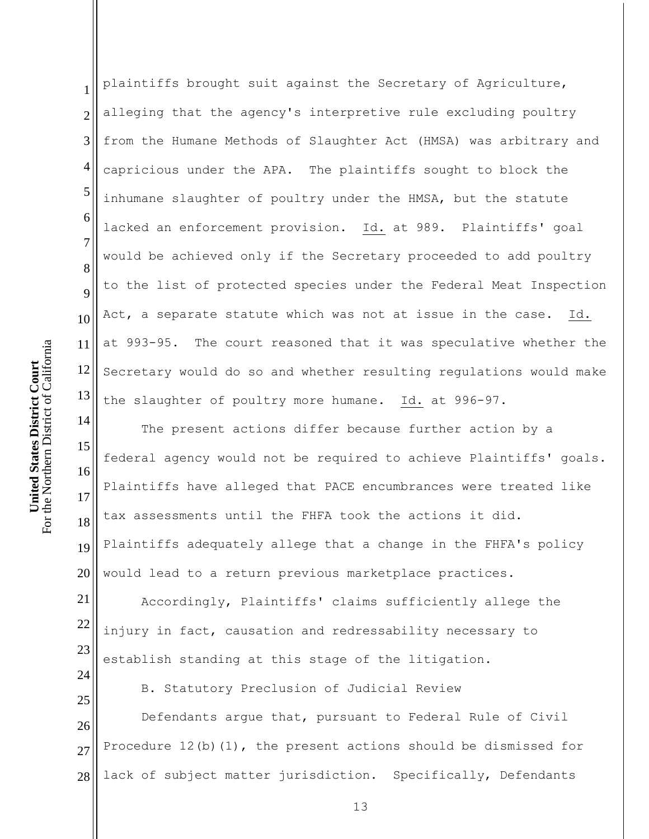1 2 3 4 5 6 7 8 9 10 11 12 13 plaintiffs brought suit against the Secretary of Agriculture, alleging that the agency's interpretive rule excluding poultry from the Humane Methods of Slaughter Act (HMSA) was arbitrary and capricious under the APA. The plaintiffs sought to block the inhumane slaughter of poultry under the HMSA, but the statute lacked an enforcement provision. Id. at 989. Plaintiffs' goal would be achieved only if the Secretary proceeded to add poultry to the list of protected species under the Federal Meat Inspection Act, a separate statute which was not at issue in the case. Id. at 993-95. The court reasoned that it was speculative whether the Secretary would do so and whether resulting regulations would make the slaughter of poultry more humane. Id. at 996-97.

14 15 16 17 18 19 20 The present actions differ because further action by a federal agency would not be required to achieve Plaintiffs' goals. Plaintiffs have alleged that PACE encumbrances were treated like tax assessments until the FHFA took the actions it did. Plaintiffs adequately allege that a change in the FHFA's policy would lead to a return previous marketplace practices.

21 22 23 Accordingly, Plaintiffs' claims sufficiently allege the injury in fact, causation and redressability necessary to establish standing at this stage of the litigation.

B. Statutory Preclusion of Judicial Review

26 27 28 Defendants argue that, pursuant to Federal Rule of Civil Procedure 12(b)(1), the present actions should be dismissed for lack of subject matter jurisdiction. Specifically, Defendants

24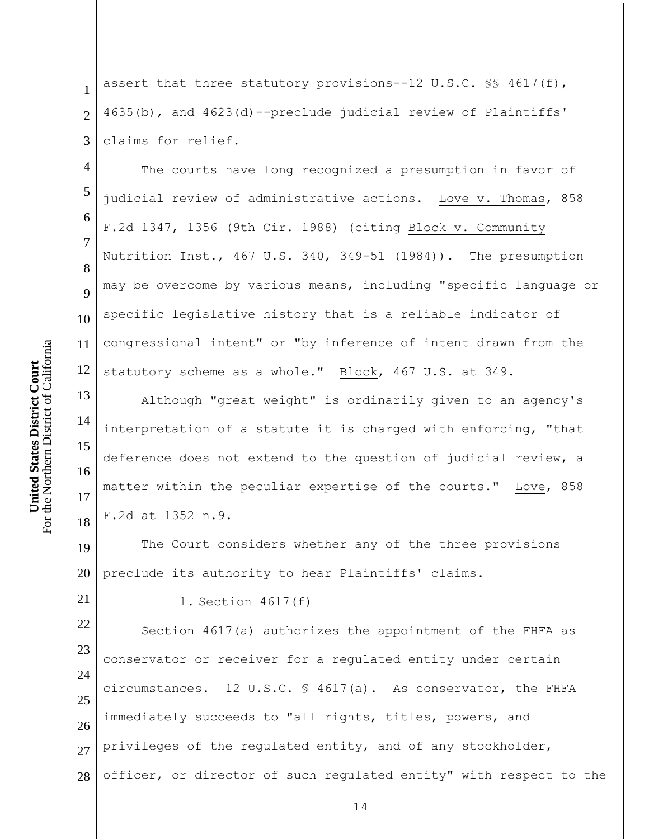1 2 3 assert that three statutory provisions--12 U.S.C. §§ 4617(f), 4635(b), and 4623(d)--preclude judicial review of Plaintiffs' claims for relief.

4 5 6 7 8 9 12 The courts have long recognized a presumption in favor of judicial review of administrative actions. Love v. Thomas, 858 F.2d 1347, 1356 (9th Cir. 1988) (citing Block v. Community Nutrition Inst., 467 U.S. 340, 349-51 (1984)). The presumption may be overcome by various means, including "specific language or specific legislative history that is a reliable indicator of congressional intent" or "by inference of intent drawn from the statutory scheme as a whole." Block, 467 U.S. at 349.

13 14 15 16 17 18 Although "great weight" is ordinarily given to an agency's interpretation of a statute it is charged with enforcing, "that deference does not extend to the question of judicial review, a matter within the peculiar expertise of the courts." Love, 858 F.2d at 1352 n.9.

19 20 The Court considers whether any of the three provisions preclude its authority to hear Plaintiffs' claims.

1. Section 4617(f)

22 23 24 25 26 27 28 Section 4617(a) authorizes the appointment of the FHFA as conservator or receiver for a regulated entity under certain circumstances. 12 U.S.C.  $\frac{1}{2}$  4617(a). As conservator, the FHFA immediately succeeds to "all rights, titles, powers, and privileges of the regulated entity, and of any stockholder, officer, or director of such regulated entity" with respect to the

10

11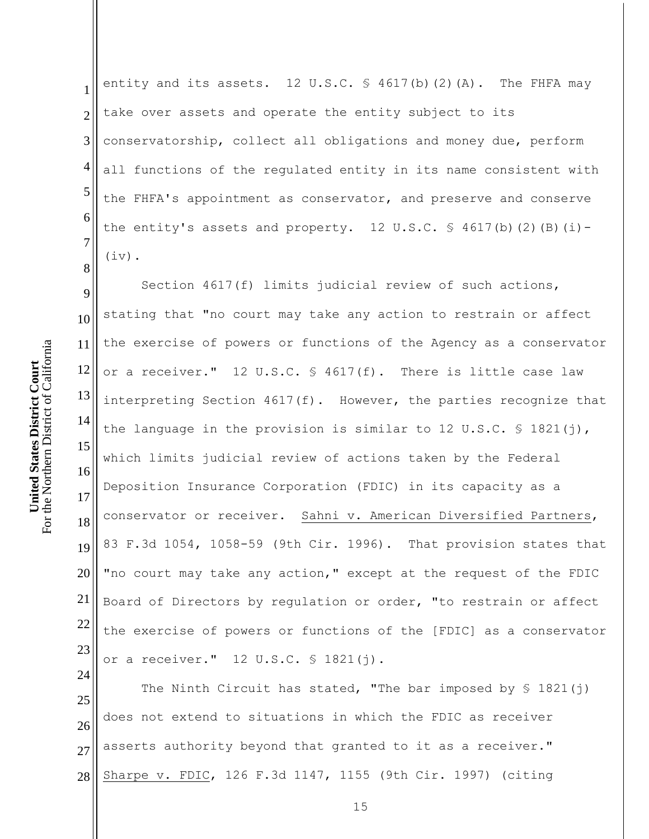1 2 3 4 5 6 7 entity and its assets.  $12 \text{ U.S.C. }$  \$ 4617(b)(2)(A). The FHFA may take over assets and operate the entity subject to its conservatorship, collect all obligations and money due, perform all functions of the regulated entity in its name consistent with the FHFA's appointment as conservator, and preserve and conserve the entity's assets and property. 12 U.S.C.  $\frac{6}{5}$  4617(b)(2)(B)(i)-(iv).

9 10 11 12 13 14 15 16 17 18 19 20 21 22 23 Section 4617(f) limits judicial review of such actions, stating that "no court may take any action to restrain or affect the exercise of powers or functions of the Agency as a conservator or a receiver." 12 U.S.C. § 4617(f). There is little case law interpreting Section 4617(f). However, the parties recognize that the language in the provision is similar to 12 U.S.C.  $\frac{1}{5}$  1821(j), which limits judicial review of actions taken by the Federal Deposition Insurance Corporation (FDIC) in its capacity as a conservator or receiver. Sahni v. American Diversified Partners, 83 F.3d 1054, 1058-59 (9th Cir. 1996). That provision states that "no court may take any action," except at the request of the FDIC Board of Directors by regulation or order, "to restrain or affect the exercise of powers or functions of the [FDIC] as a conservator or a receiver." 12 U.S.C. § 1821(j).

25 26 27 28 The Ninth Circuit has stated, "The bar imposed by  $\S$  1821(j) does not extend to situations in which the FDIC as receiver asserts authority beyond that granted to it as a receiver." Sharpe v. FDIC, 126 F.3d 1147, 1155 (9th Cir. 1997) (citing

8

24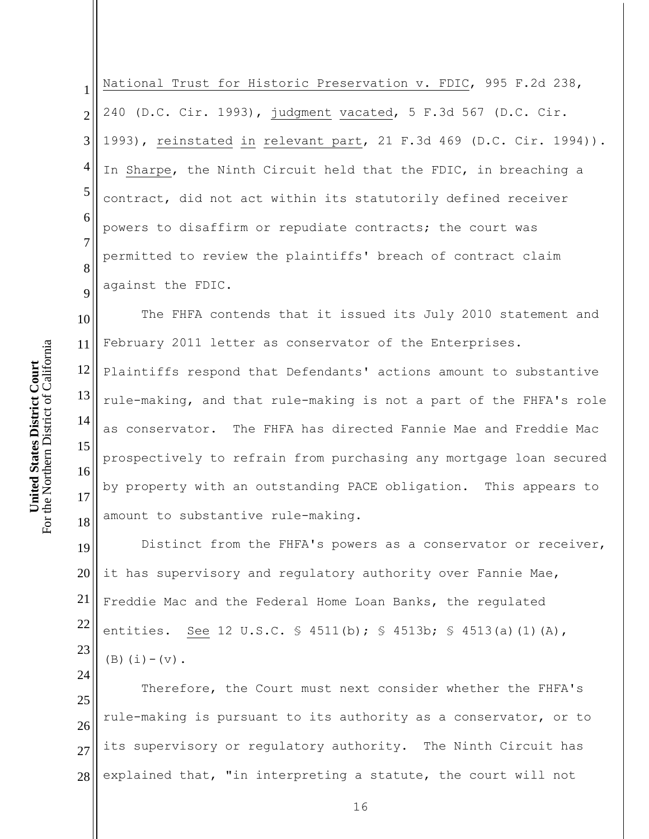1 2 3 4 5 6 7 8 9 National Trust for Historic Preservation v. FDIC, 995 F.2d 238, 240 (D.C. Cir. 1993), judgment vacated, 5 F.3d 567 (D.C. Cir. 1993), reinstated in relevant part, 21 F.3d 469 (D.C. Cir. 1994)). In Sharpe, the Ninth Circuit held that the FDIC, in breaching a contract, did not act within its statutorily defined receiver powers to disaffirm or repudiate contracts; the court was permitted to review the plaintiffs' breach of contract claim against the FDIC.

10 11 The FHFA contends that it issued its July 2010 statement and February 2011 letter as conservator of the Enterprises.

12 13 14 15 16 17 18 Plaintiffs respond that Defendants' actions amount to substantive rule-making, and that rule-making is not a part of the FHFA's role as conservator. The FHFA has directed Fannie Mae and Freddie Mac prospectively to refrain from purchasing any mortgage loan secured by property with an outstanding PACE obligation. This appears to amount to substantive rule-making.

19 20 21 22 23 Distinct from the FHFA's powers as a conservator or receiver, it has supervisory and regulatory authority over Fannie Mae, Freddie Mac and the Federal Home Loan Banks, the regulated entities. See 12 U.S.C. § 4511(b); § 4513b; § 4513(a)(1)(A),  $(B)(i) - (v)$ .

25 26 27 28 Therefore, the Court must next consider whether the FHFA's rule-making is pursuant to its authority as a conservator, or to its supervisory or regulatory authority. The Ninth Circuit has explained that, "in interpreting a statute, the court will not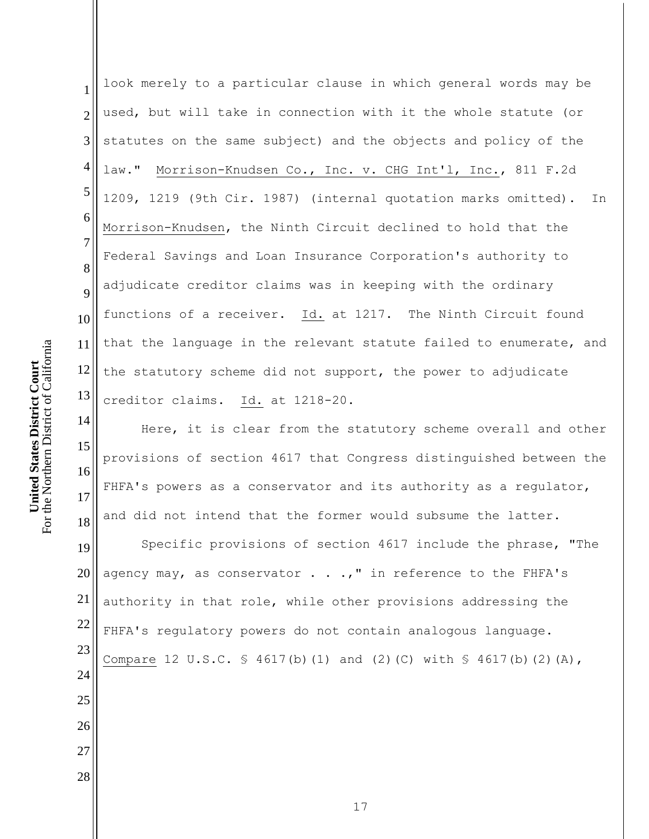1 2 3 4 5 6 7 8 9 10 11 12 13 look merely to a particular clause in which general words may be used, but will take in connection with it the whole statute (or statutes on the same subject) and the objects and policy of the law." Morrison-Knudsen Co., Inc. v. CHG Int'l, Inc., 811 F.2d 1209, 1219 (9th Cir. 1987) (internal quotation marks omitted). In Morrison-Knudsen, the Ninth Circuit declined to hold that the Federal Savings and Loan Insurance Corporation's authority to adjudicate creditor claims was in keeping with the ordinary functions of a receiver. Id. at 1217. The Ninth Circuit found that the language in the relevant statute failed to enumerate, and the statutory scheme did not support, the power to adjudicate creditor claims. Id. at 1218-20.

14 15 16 17 18 Here, it is clear from the statutory scheme overall and other provisions of section 4617 that Congress distinguished between the FHFA's powers as a conservator and its authority as a regulator, and did not intend that the former would subsume the latter.

19 20 21 22 23 24 25 Specific provisions of section 4617 include the phrase, "The agency may, as conservator  $\ldots$ , " in reference to the FHFA's authority in that role, while other provisions addressing the FHFA's regulatory powers do not contain analogous language. Compare 12 U.S.C.  $\frac{1}{5}$  4617(b)(1) and (2)(C) with  $\frac{1}{5}$  4617(b)(2)(A),

26

27

28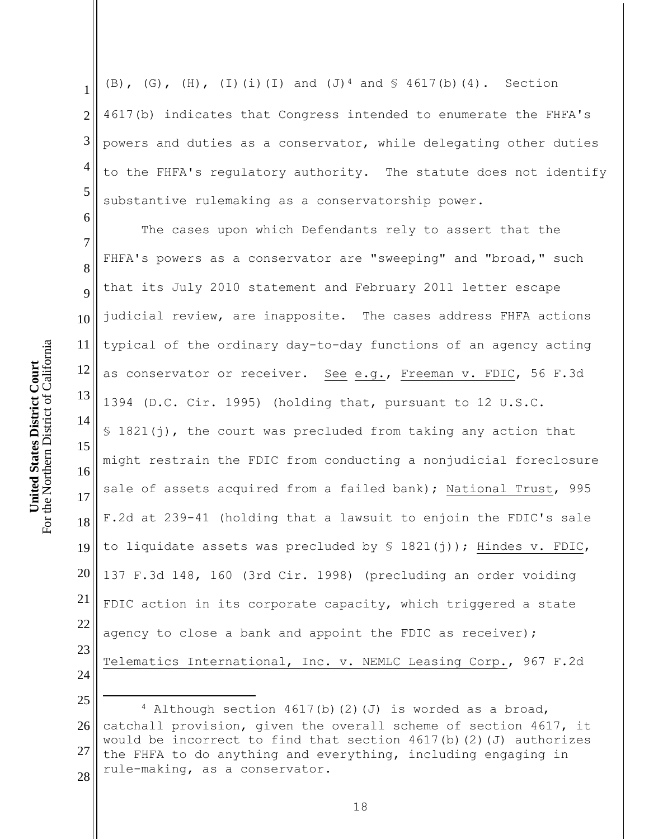$\overline{a}$ 

6

1 2 3 4 5 (B), (G), (H), (I)(i)(I) and (J)<sup>4</sup> and § 4617(b)(4). Section 4617(b) indicates that Congress intended to enumerate the FHFA's powers and duties as a conservator, while delegating other duties to the FHFA's regulatory authority. The statute does not identify substantive rulemaking as a conservatorship power.

7 17 18 19 20 21 22 23 24 The cases upon which Defendants rely to assert that the FHFA's powers as a conservator are "sweeping" and "broad," such that its July 2010 statement and February 2011 letter escape judicial review, are inapposite. The cases address FHFA actions typical of the ordinary day-to-day functions of an agency acting as conservator or receiver. See e.g., Freeman v. FDIC, 56 F.3d 1394 (D.C. Cir. 1995) (holding that, pursuant to 12 U.S.C. § 1821(j), the court was precluded from taking any action that might restrain the FDIC from conducting a nonjudicial foreclosure sale of assets acquired from a failed bank); National Trust, 995 F.2d at 239-41 (holding that a lawsuit to enjoin the FDIC's sale to liquidate assets was precluded by  $\S$  1821(j)); Hindes v. FDIC, 137 F.3d 148, 160 (3rd Cir. 1998) (precluding an order voiding FDIC action in its corporate capacity, which triggered a state agency to close a bank and appoint the FDIC as receiver); Telematics International, Inc. v. NEMLC Leasing Corp., 967 F.2d

<sup>25</sup> 26 27 28  $4$  Although section  $4617(b)$  (2)(J) is worded as a broad, catchall provision, given the overall scheme of section 4617, it would be incorrect to find that section  $4617(b)(2)(J)$  authorizes the FHFA to do anything and everything, including engaging in rule-making, as a conservator.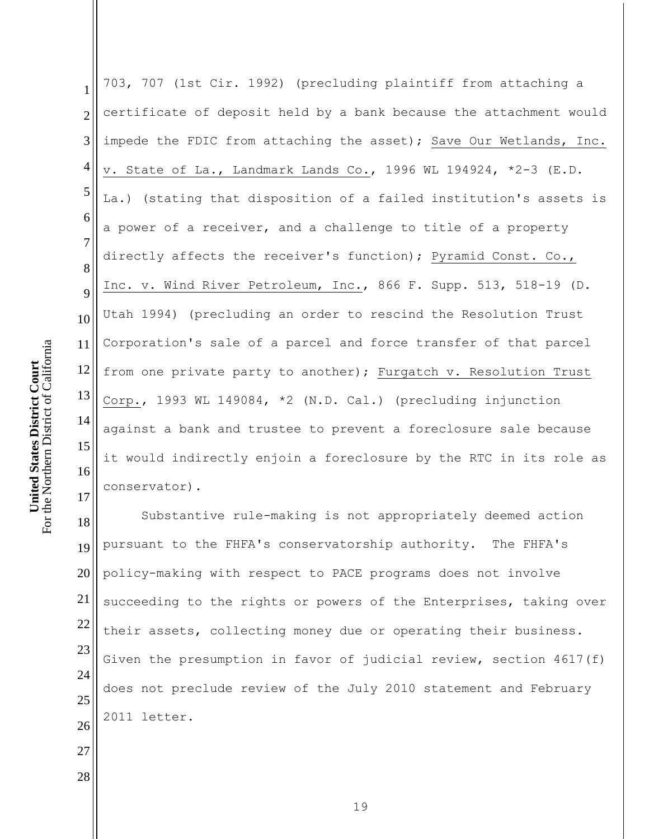1 2 3 4 5 6 7 8 9 10 11 12 13 14 15 16 17 703, 707 (1st Cir. 1992) (precluding plaintiff from attaching a certificate of deposit held by a bank because the attachment would impede the FDIC from attaching the asset); Save Our Wetlands, Inc. v. State of La., Landmark Lands Co., 1996 WL 194924, \*2-3 (E.D. La.) (stating that disposition of a failed institution's assets is a power of a receiver, and a challenge to title of a property directly affects the receiver's function); Pyramid Const. Co., Inc. v. Wind River Petroleum, Inc., 866 F. Supp. 513, 518-19 (D. Utah 1994) (precluding an order to rescind the Resolution Trust Corporation's sale of a parcel and force transfer of that parcel from one private party to another); Furgatch v. Resolution Trust Corp., 1993 WL 149084, \*2 (N.D. Cal.) (precluding injunction against a bank and trustee to prevent a foreclosure sale because it would indirectly enjoin a foreclosure by the RTC in its role as conservator).

18 19 20 21 22 23 24 25 26 Substantive rule-making is not appropriately deemed action pursuant to the FHFA's conservatorship authority. The FHFA's policy-making with respect to PACE programs does not involve succeeding to the rights or powers of the Enterprises, taking over their assets, collecting money due or operating their business. Given the presumption in favor of judicial review, section 4617(f) does not preclude review of the July 2010 statement and February 2011 letter.

For the Northern District of California For the Northern District of California **United States District Court United States District Court**

27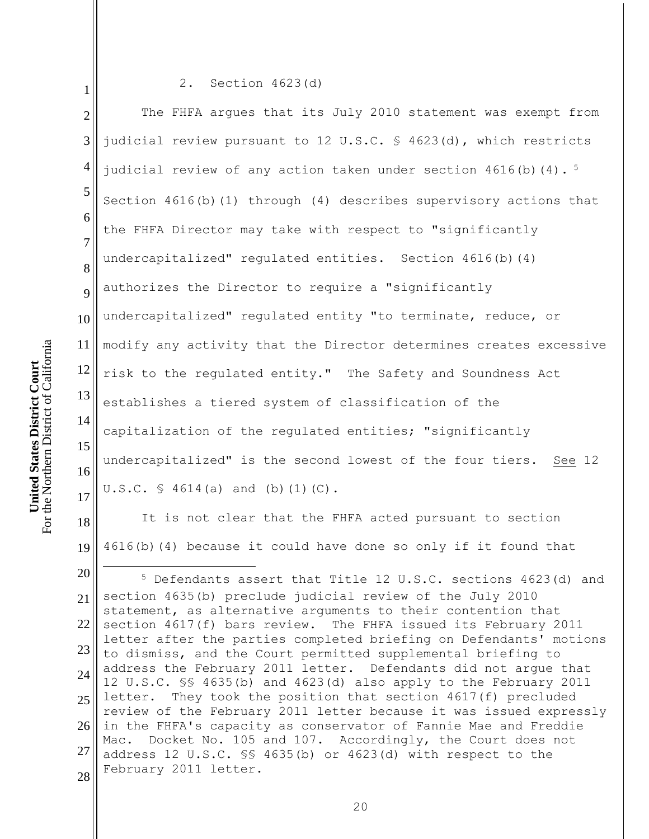1 2 3 4 5 6 7 8 9 10 11 12 13 14 15 16 17 18 19 20 2. Section 4623(d) The FHFA argues that its July 2010 statement was exempt from judicial review pursuant to 12 U.S.C. § 4623(d), which restricts judicial review of any action taken under section  $4616(b)(4)$ . <sup>5</sup> Section 4616(b)(1) through (4) describes supervisory actions that the FHFA Director may take with respect to "significantly undercapitalized" regulated entities. Section 4616(b)(4) authorizes the Director to require a "significantly undercapitalized" regulated entity "to terminate, reduce, or modify any activity that the Director determines creates excessive risk to the regulated entity." The Safety and Soundness Act establishes a tiered system of classification of the capitalization of the regulated entities; "significantly undercapitalized" is the second lowest of the four tiers. See 12 U.S.C. § 4614(a) and (b)(1)(C). It is not clear that the FHFA acted pursuant to section 4616(b)(4) because it could have done so only if it found that  $\overline{a}$ <sup>5</sup> Defendants assert that Title 12 U.S.C. sections 4623(d) and

21 22 23 24 25 26 27 28 section 4635(b) preclude judicial review of the July 2010 statement, as alternative arguments to their contention that section 4617(f) bars review. The FHFA issued its February 2011 letter after the parties completed briefing on Defendants' motions to dismiss, and the Court permitted supplemental briefing to address the February 2011 letter. Defendants did not argue that 12 U.S.C. §§ 4635(b) and 4623(d) also apply to the February 2011 letter. They took the position that section 4617(f) precluded review of the February 2011 letter because it was issued expressly in the FHFA's capacity as conservator of Fannie Mae and Freddie Mac. Docket No. 105 and 107. Accordingly, the Court does not address 12 U.S.C. §§ 4635(b) or 4623(d) with respect to the February 2011 letter.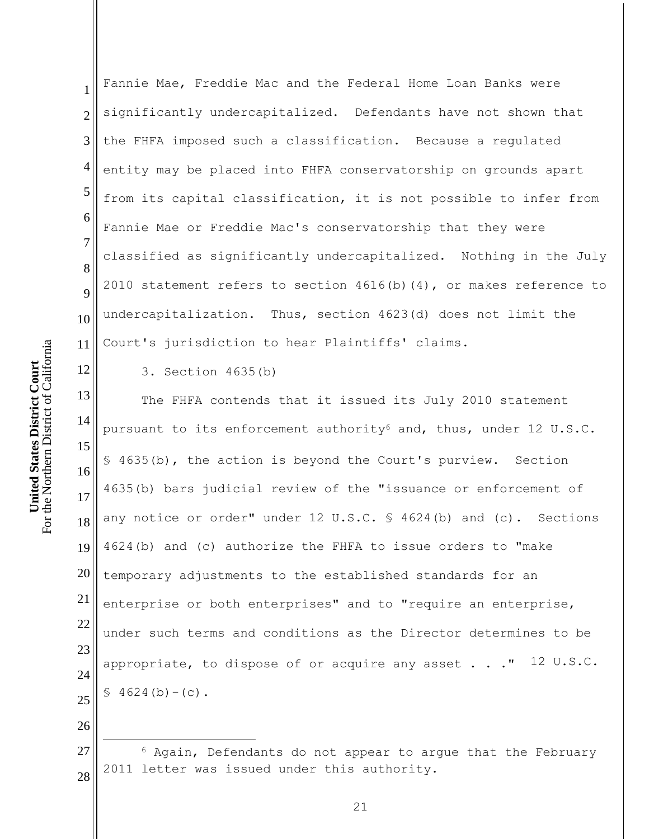12

1 2 3 4 5 6 7 8 9 10 11 Fannie Mae, Freddie Mac and the Federal Home Loan Banks were significantly undercapitalized. Defendants have not shown that the FHFA imposed such a classification. Because a regulated entity may be placed into FHFA conservatorship on grounds apart from its capital classification, it is not possible to infer from Fannie Mae or Freddie Mac's conservatorship that they were classified as significantly undercapitalized. Nothing in the July 2010 statement refers to section  $4616(b)(4)$ , or makes reference to undercapitalization. Thus, section 4623(d) does not limit the Court's jurisdiction to hear Plaintiffs' claims.

3. Section 4635(b)

13 14 15 16 17 18 19 20 21 22 23 24 25 The FHFA contends that it issued its July 2010 statement pursuant to its enforcement authority<sup>6</sup> and, thus, under 12 U.S.C. § 4635(b), the action is beyond the Court's purview. Section 4635(b) bars judicial review of the "issuance or enforcement of any notice or order" under 12 U.S.C. § 4624(b) and (c). Sections 4624(b) and (c) authorize the FHFA to issue orders to "make temporary adjustments to the established standards for an enterprise or both enterprises" and to "require an enterprise, under such terms and conditions as the Director determines to be appropriate, to dispose of or acquire any asset  $\ldots$  " 12 U.S.C.  $$4624(b)-(c)$ .

26 27

 $\overline{a}$ 

<sup>28</sup> <sup>6</sup> Again, Defendants do not appear to argue that the February 2011 letter was issued under this authority.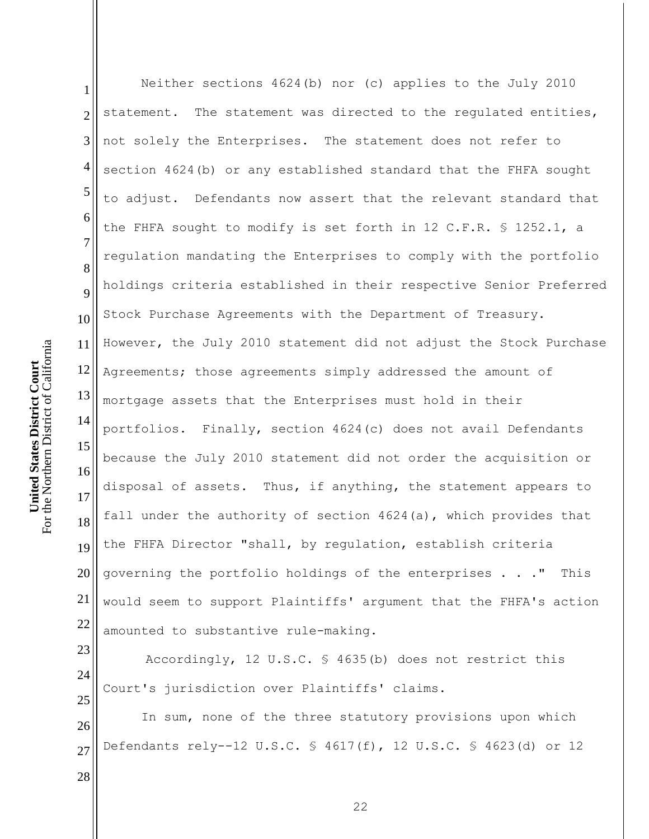1 2 3 4 5 6 7 8 9 10 11 12 13 14 15 16 17 18 19 20 21 22 23 Neither sections 4624(b) nor (c) applies to the July 2010 statement. The statement was directed to the regulated entities, not solely the Enterprises. The statement does not refer to section 4624(b) or any established standard that the FHFA sought to adjust. Defendants now assert that the relevant standard that the FHFA sought to modify is set forth in 12 C.F.R. § 1252.1, a regulation mandating the Enterprises to comply with the portfolio holdings criteria established in their respective Senior Preferred Stock Purchase Agreements with the Department of Treasury. However, the July 2010 statement did not adjust the Stock Purchase Agreements; those agreements simply addressed the amount of mortgage assets that the Enterprises must hold in their portfolios. Finally, section 4624(c) does not avail Defendants because the July 2010 statement did not order the acquisition or disposal of assets. Thus, if anything, the statement appears to fall under the authority of section 4624(a), which provides that the FHFA Director "shall, by regulation, establish criteria governing the portfolio holdings of the enterprises . . ." This would seem to support Plaintiffs' argument that the FHFA's action amounted to substantive rule-making.

24 25 Accordingly, 12 U.S.C. § 4635(b) does not restrict this Court's jurisdiction over Plaintiffs' claims.

26 27 In sum, none of the three statutory provisions upon which Defendants rely--12 U.S.C. § 4617(f), 12 U.S.C. § 4623(d) or 12

For the Northern District of California For the Northern District of California **United States District Court United States District Court**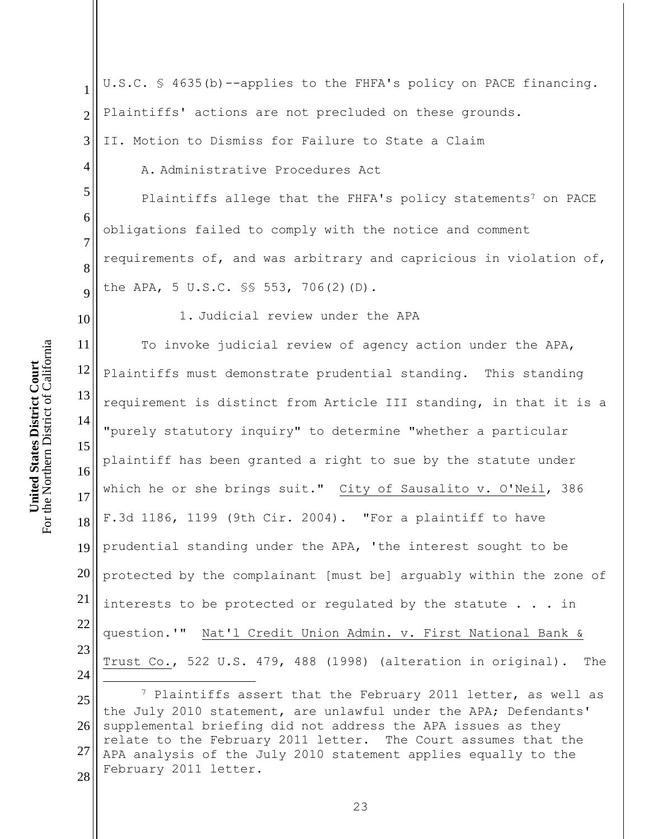Plaintiffs' actions are not precluded on these grounds. 2 II. Motion to Dismiss for Failure to State a Claim 3 4 A. Administrative Procedures Act 5 Plaintiffs allege that the FHFA's policy statements<sup>7</sup> on PACE 6 obligations failed to comply with the notice and comment 7 requirements of, and was arbitrary and capricious in violation of, 8 the APA, 5 U.S.C. §§ 553, 706(2)(D). 9 1. Judicial review under the APA 10 For the Northern District of California For the Northern District of California 11 To invoke judicial review of agency action under the APA, **United States District Court United States District Court** 12 Plaintiffs must demonstrate prudential standing. This standing 13 requirement is distinct from Article III standing, in that it is a 14 "purely statutory inquiry" to determine "whether a particular 15 plaintiff has been granted a right to sue by the statute under 16 which he or she brings suit." City of Sausalito v. O'Neil, 386 17 F.3d 1186, 1199 (9th Cir. 2004). "For a plaintiff to have 18 19 prudential standing under the APA, 'the interest sought to be 20 protected by the complainant [must be] arguably within the zone of 21 interests to be protected or regulated by the statute . . . in

23 24

22

1

 $\overline{a}$ 

25 26 27 28 <sup>7</sup> Plaintiffs assert that the February 2011 letter, as well as the July 2010 statement, are unlawful under the APA; Defendants' supplemental briefing did not address the APA issues as they relate to the February 2011 letter. The Court assumes that the APA analysis of the July 2010 statement applies equally to the February 2011 letter.

question.'" Nat'l Credit Union Admin. v. First National Bank &

Trust Co., 522 U.S. 479, 488 (1998) (alteration in original). The

U.S.C. § 4635(b)--applies to the FHFA's policy on PACE financing.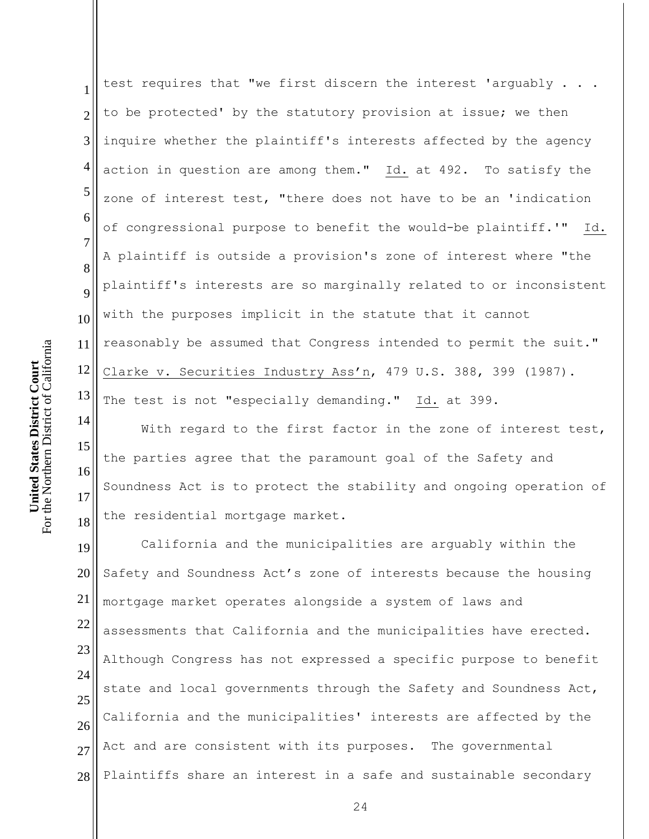1 2 3 4 5 6 7 8 9 10 11 12 13 test requires that "we first discern the interest 'arguably . . . to be protected' by the statutory provision at issue; we then inquire whether the plaintiff's interests affected by the agency action in question are among them." Id. at 492. To satisfy the zone of interest test, "there does not have to be an 'indication of congressional purpose to benefit the would-be plaintiff.'" Id. A plaintiff is outside a provision's zone of interest where "the plaintiff's interests are so marginally related to or inconsistent with the purposes implicit in the statute that it cannot reasonably be assumed that Congress intended to permit the suit." Clarke v. Securities Industry Ass'n, 479 U.S. 388, 399 (1987). The test is not "especially demanding." Id. at 399.

14 15 16 17 18 With regard to the first factor in the zone of interest test, the parties agree that the paramount goal of the Safety and Soundness Act is to protect the stability and ongoing operation of the residential mortgage market.

19 20 21 22 23 24 25 26 27 28 California and the municipalities are arguably within the Safety and Soundness Act's zone of interests because the housing mortgage market operates alongside a system of laws and assessments that California and the municipalities have erected. Although Congress has not expressed a specific purpose to benefit state and local governments through the Safety and Soundness Act, California and the municipalities' interests are affected by the Act and are consistent with its purposes. The governmental Plaintiffs share an interest in a safe and sustainable secondary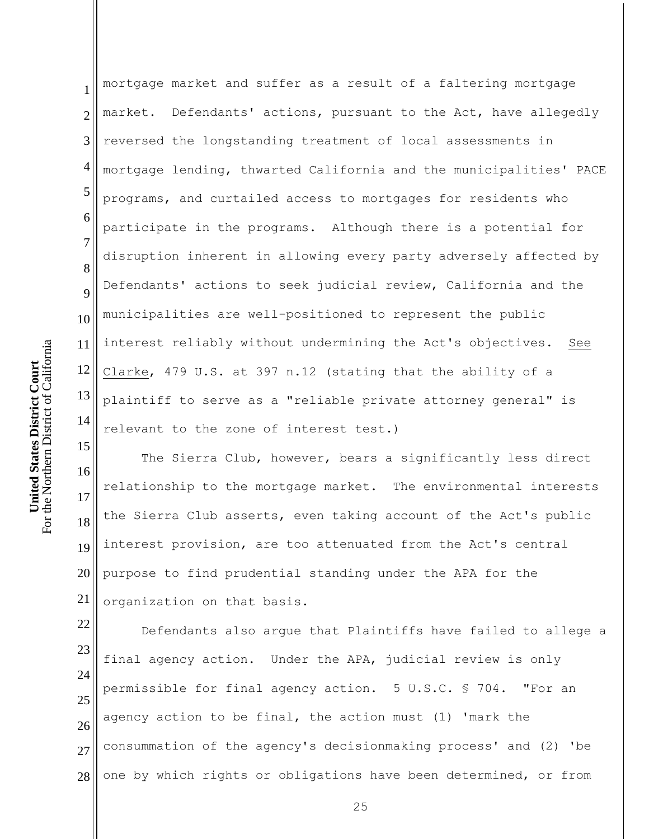1 2 3 4 5 6 7 8 9 10 11 12 13 14 mortgage market and suffer as a result of a faltering mortgage market. Defendants' actions, pursuant to the Act, have allegedly reversed the longstanding treatment of local assessments in mortgage lending, thwarted California and the municipalities' PACE programs, and curtailed access to mortgages for residents who participate in the programs. Although there is a potential for disruption inherent in allowing every party adversely affected by Defendants' actions to seek judicial review, California and the municipalities are well-positioned to represent the public interest reliably without undermining the Act's objectives. See Clarke, 479 U.S. at 397 n.12 (stating that the ability of a plaintiff to serve as a "reliable private attorney general" is relevant to the zone of interest test.)

16 17 18 19 20 21 The Sierra Club, however, bears a significantly less direct relationship to the mortgage market. The environmental interests the Sierra Club asserts, even taking account of the Act's public interest provision, are too attenuated from the Act's central purpose to find prudential standing under the APA for the organization on that basis.

22 23 24 25 26 27 28 Defendants also argue that Plaintiffs have failed to allege a final agency action. Under the APA, judicial review is only permissible for final agency action. 5 U.S.C. § 704. "For an agency action to be final, the action must (1) 'mark the consummation of the agency's decisionmaking process' and (2) 'be one by which rights or obligations have been determined, or from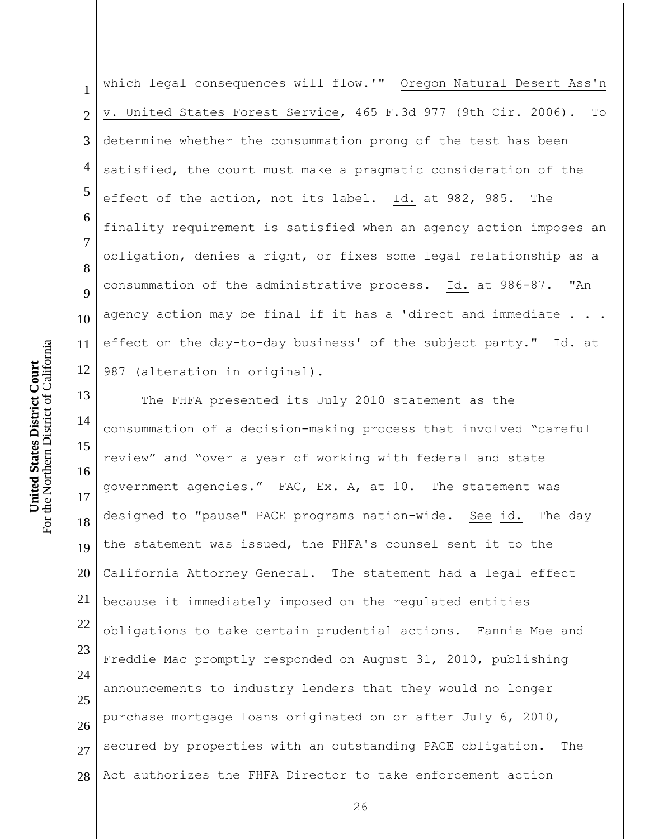1 2 3 4 5 6 7 8 9 10 11 12 which legal consequences will flow.'" Oregon Natural Desert Ass'n v. United States Forest Service, 465 F.3d 977 (9th Cir. 2006). To determine whether the consummation prong of the test has been satisfied, the court must make a pragmatic consideration of the effect of the action, not its label. Id. at 982, 985. The finality requirement is satisfied when an agency action imposes an obligation, denies a right, or fixes some legal relationship as a consummation of the administrative process. Id. at 986-87. "An agency action may be final if it has a 'direct and immediate . effect on the day-to-day business' of the subject party." Id. at 987 (alteration in original).

13 14 15 16 17 18 19 20 21 22 23 24 25 26 27 28 The FHFA presented its July 2010 statement as the consummation of a decision-making process that involved "careful review" and "over a year of working with federal and state government agencies." FAC, Ex. A, at 10. The statement was designed to "pause" PACE programs nation-wide. See id. The day the statement was issued, the FHFA's counsel sent it to the California Attorney General. The statement had a legal effect because it immediately imposed on the regulated entities obligations to take certain prudential actions. Fannie Mae and Freddie Mac promptly responded on August 31, 2010, publishing announcements to industry lenders that they would no longer purchase mortgage loans originated on or after July 6, 2010, secured by properties with an outstanding PACE obligation. The Act authorizes the FHFA Director to take enforcement action

For the Northern District of California For the Northern District of California **United States District Court United States District Court**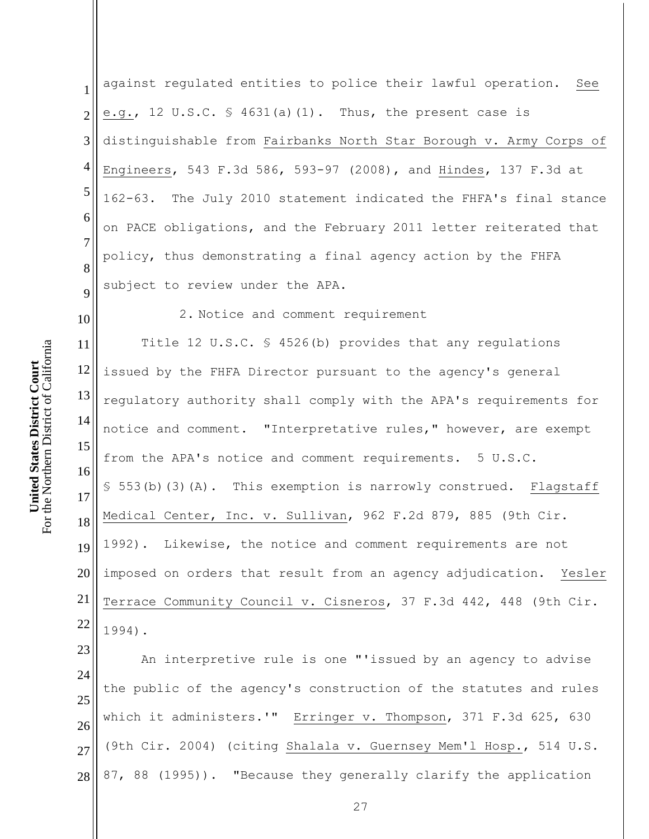1 2 3 4 5 6 7 8 9 against regulated entities to police their lawful operation. See e.g., 12 U.S.C.  $\frac{1}{5}$  4631(a)(1). Thus, the present case is distinguishable from Fairbanks North Star Borough v. Army Corps of Engineers, 543 F.3d 586, 593-97 (2008), and Hindes, 137 F.3d at 162-63. The July 2010 statement indicated the FHFA's final stance on PACE obligations, and the February 2011 letter reiterated that policy, thus demonstrating a final agency action by the FHFA subject to review under the APA.

10

**United States District Court** For the Northern District of California

For the Northern District of California **United States District Court** 

2. Notice and comment requirement

11 12 13 14 15 16 17 18 19 20 21 22 Title 12 U.S.C. § 4526(b) provides that any regulations issued by the FHFA Director pursuant to the agency's general regulatory authority shall comply with the APA's requirements for notice and comment. "Interpretative rules," however, are exempt from the APA's notice and comment requirements. 5 U.S.C. § 553(b)(3)(A). This exemption is narrowly construed. Flagstaff Medical Center, Inc. v. Sullivan, 962 F.2d 879, 885 (9th Cir. 1992). Likewise, the notice and comment requirements are not imposed on orders that result from an agency adjudication. Yesler Terrace Community Council v. Cisneros, 37 F.3d 442, 448 (9th Cir. 1994).

23 24 25 26 27 28 An interpretive rule is one "'issued by an agency to advise the public of the agency's construction of the statutes and rules which it administers.'" Erringer v. Thompson, 371 F.3d 625, 630 (9th Cir. 2004) (citing Shalala v. Guernsey Mem'l Hosp., 514 U.S. 87, 88 (1995)). "Because they generally clarify the application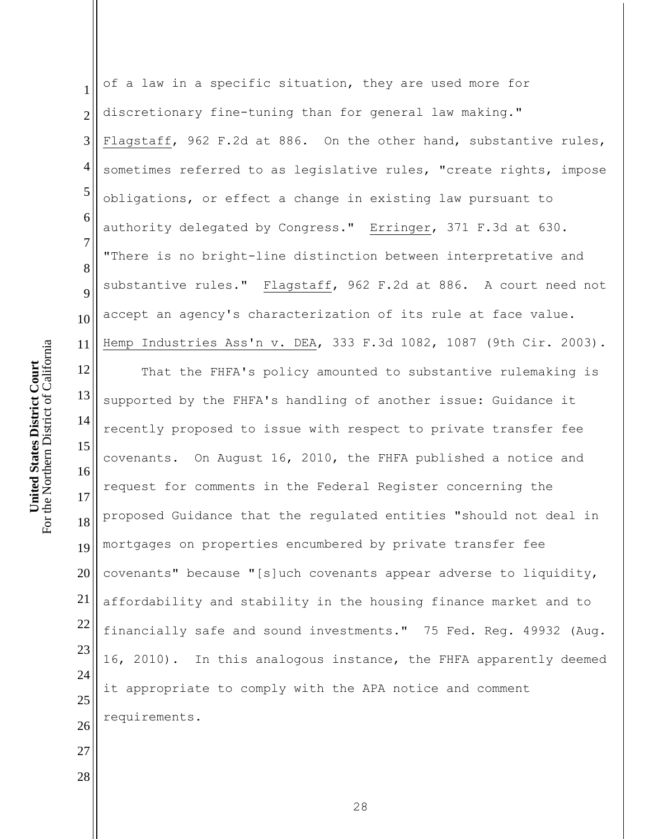1 2 3 4 5 6 7 8 9 10 11 12 13 14 15 16 17 18 19 20 21 22 23 24 25 26 27 28 of a law in a specific situation, they are used more for discretionary fine-tuning than for general law making." Flagstaff, 962 F.2d at 886. On the other hand, substantive rules, sometimes referred to as legislative rules, "create rights, impose obligations, or effect a change in existing law pursuant to authority delegated by Congress." Erringer, 371 F.3d at 630. "There is no bright-line distinction between interpretative and substantive rules." Flagstaff, 962 F.2d at 886. A court need not accept an agency's characterization of its rule at face value. Hemp Industries Ass'n v. DEA, 333 F.3d 1082, 1087 (9th Cir. 2003). That the FHFA's policy amounted to substantive rulemaking is supported by the FHFA's handling of another issue: Guidance it recently proposed to issue with respect to private transfer fee covenants. On August 16, 2010, the FHFA published a notice and request for comments in the Federal Register concerning the proposed Guidance that the regulated entities "should not deal in mortgages on properties encumbered by private transfer fee covenants" because "[s]uch covenants appear adverse to liquidity, affordability and stability in the housing finance market and to financially safe and sound investments." 75 Fed. Reg. 49932 (Aug. 16, 2010). In this analogous instance, the FHFA apparently deemed it appropriate to comply with the APA notice and comment requirements.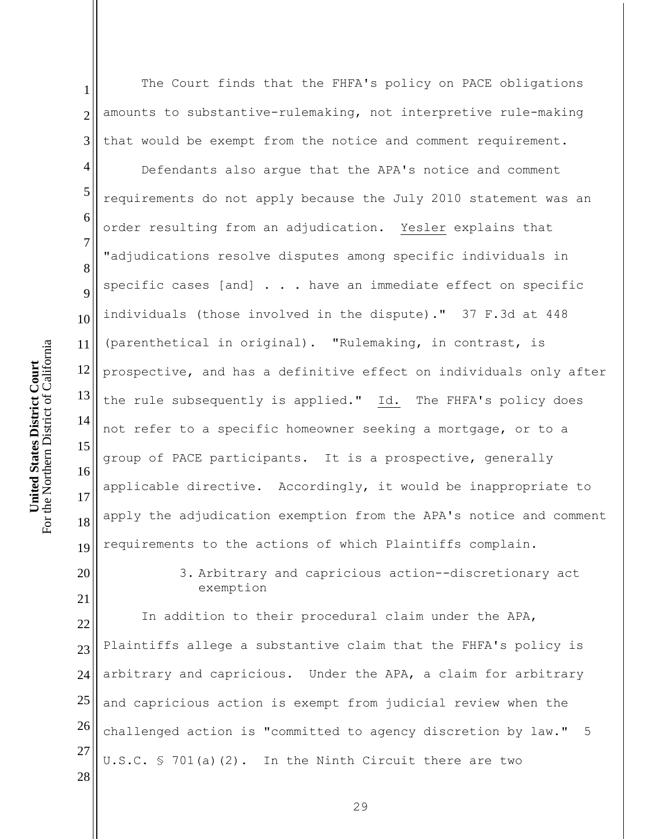1 2 3 The Court finds that the FHFA's policy on PACE obligations amounts to substantive-rulemaking, not interpretive rule-making that would be exempt from the notice and comment requirement.

Defendants also argue that the APA's notice and comment requirements do not apply because the July 2010 statement was an order resulting from an adjudication. Yesler explains that "adjudications resolve disputes among specific individuals in specific cases [and]  $\ldots$  have an immediate effect on specific individuals (those involved in the dispute)." 37 F.3d at 448 (parenthetical in original). "Rulemaking, in contrast, is prospective, and has a definitive effect on individuals only after the rule subsequently is applied." Id. The FHFA's policy does not refer to a specific homeowner seeking a mortgage, or to a group of PACE participants. It is a prospective, generally applicable directive. Accordingly, it would be inappropriate to apply the adjudication exemption from the APA's notice and comment requirements to the actions of which Plaintiffs complain.

20 21

4

5

6

7

8

9

10

11

12

13

14

15

16

17

18

19

3. Arbitrary and capricious action--discretionary act exemption

22 23 24 25 26 27 28 In addition to their procedural claim under the APA, Plaintiffs allege a substantive claim that the FHFA's policy is arbitrary and capricious. Under the APA, a claim for arbitrary and capricious action is exempt from judicial review when the challenged action is "committed to agency discretion by law." 5 U.S.C. § 701(a)(2). In the Ninth Circuit there are two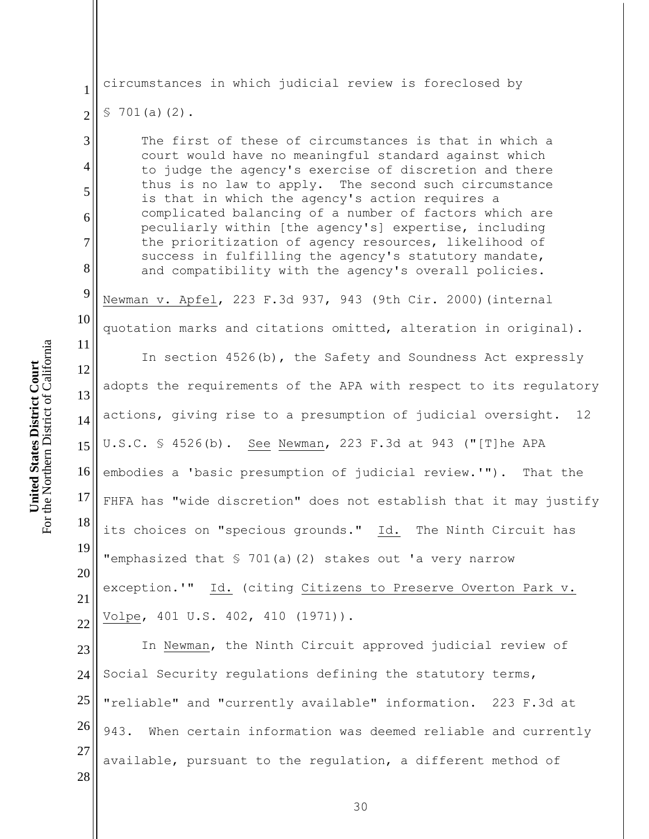28

1 2 3 4 5 6 7 8 9 10 11 12 13 14 15 16 17 18 19 20 21 22 23 24 25 26 27 circumstances in which judicial review is foreclosed by  $$701(a)(2)$ . The first of these of circumstances is that in which a court would have no meaningful standard against which to judge the agency's exercise of discretion and there thus is no law to apply. The second such circumstance is that in which the agency's action requires a complicated balancing of a number of factors which are peculiarly within [the agency's] expertise, including the prioritization of agency resources, likelihood of success in fulfilling the agency's statutory mandate, and compatibility with the agency's overall policies. Newman v. Apfel, 223 F.3d 937, 943 (9th Cir. 2000)(internal quotation marks and citations omitted, alteration in original). In section 4526(b), the Safety and Soundness Act expressly adopts the requirements of the APA with respect to its regulatory actions, giving rise to a presumption of judicial oversight. 12 U.S.C. § 4526(b). See Newman, 223 F.3d at 943 ("[T]he APA embodies a 'basic presumption of judicial review.'"). That the FHFA has "wide discretion" does not establish that it may justify its choices on "specious grounds." Id. The Ninth Circuit has "emphasized that § 701(a)(2) stakes out 'a very narrow exception.'" Id. (citing Citizens to Preserve Overton Park v. Volpe, 401 U.S. 402, 410 (1971)). In Newman, the Ninth Circuit approved judicial review of Social Security regulations defining the statutory terms, "reliable" and "currently available" information. 223 F.3d at 943. When certain information was deemed reliable and currently available, pursuant to the regulation, a different method of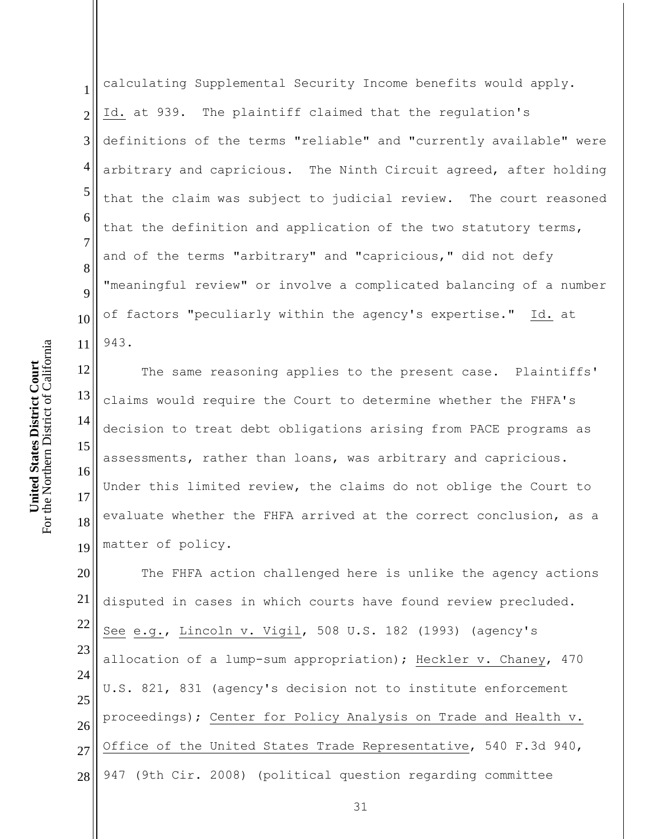1 2 3 4 5 6 7 8 9 10 11 calculating Supplemental Security Income benefits would apply. Id. at 939. The plaintiff claimed that the regulation's definitions of the terms "reliable" and "currently available" were arbitrary and capricious. The Ninth Circuit agreed, after holding that the claim was subject to judicial review. The court reasoned that the definition and application of the two statutory terms, and of the terms "arbitrary" and "capricious," did not defy "meaningful review" or involve a complicated balancing of a number of factors "peculiarly within the agency's expertise." Id. at 943.

12 13 14 15 16 17 18 19 The same reasoning applies to the present case. Plaintiffs' claims would require the Court to determine whether the FHFA's decision to treat debt obligations arising from PACE programs as assessments, rather than loans, was arbitrary and capricious. Under this limited review, the claims do not oblige the Court to evaluate whether the FHFA arrived at the correct conclusion, as a matter of policy.

20 21 22 23 24 25 26 27 28 The FHFA action challenged here is unlike the agency actions disputed in cases in which courts have found review precluded. See e.g., Lincoln v. Vigil, 508 U.S. 182 (1993) (agency's allocation of a lump-sum appropriation); Heckler v. Chaney, 470 U.S. 821, 831 (agency's decision not to institute enforcement proceedings); Center for Policy Analysis on Trade and Health v. Office of the United States Trade Representative, 540 F.3d 940, 947 (9th Cir. 2008) (political question regarding committee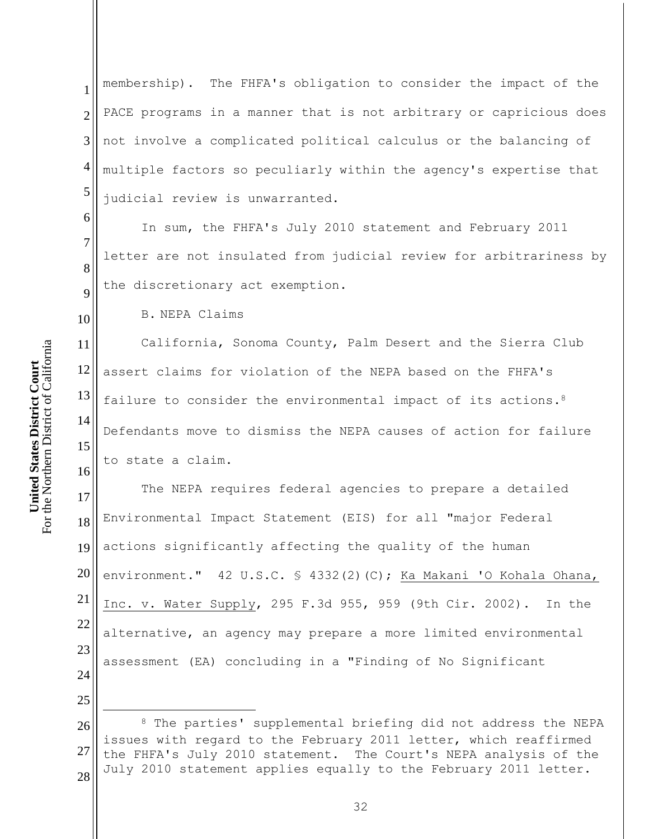1 2 3 4 5 membership). The FHFA's obligation to consider the impact of the PACE programs in a manner that is not arbitrary or capricious does not involve a complicated political calculus or the balancing of multiple factors so peculiarly within the agency's expertise that judicial review is unwarranted.

In sum, the FHFA's July 2010 statement and February 2011 letter are not insulated from judicial review for arbitrariness by the discretionary act exemption.

B. NEPA Claims

11 12 13 14 15 California, Sonoma County, Palm Desert and the Sierra Club assert claims for violation of the NEPA based on the FHFA's failure to consider the environmental impact of its actions.<sup>8</sup> Defendants move to dismiss the NEPA causes of action for failure to state a claim.

17 18 19 20 21 22 23 24 The NEPA requires federal agencies to prepare a detailed Environmental Impact Statement (EIS) for all "major Federal actions significantly affecting the quality of the human environment." 42 U.S.C. § 4332(2)(C); Ka Makani 'O Kohala Ohana, Inc. v. Water Supply, 295 F.3d 955, 959 (9th Cir. 2002). In the alternative, an agency may prepare a more limited environmental assessment (EA) concluding in a "Finding of No Significant

26 27 28 <sup>8</sup> The parties' supplemental briefing did not address the NEPA issues with regard to the February 2011 letter, which reaffirmed the FHFA's July 2010 statement. The Court's NEPA analysis of the July 2010 statement applies equally to the February 2011 letter.

6

7

8

9

10

16

25

 $\overline{a}$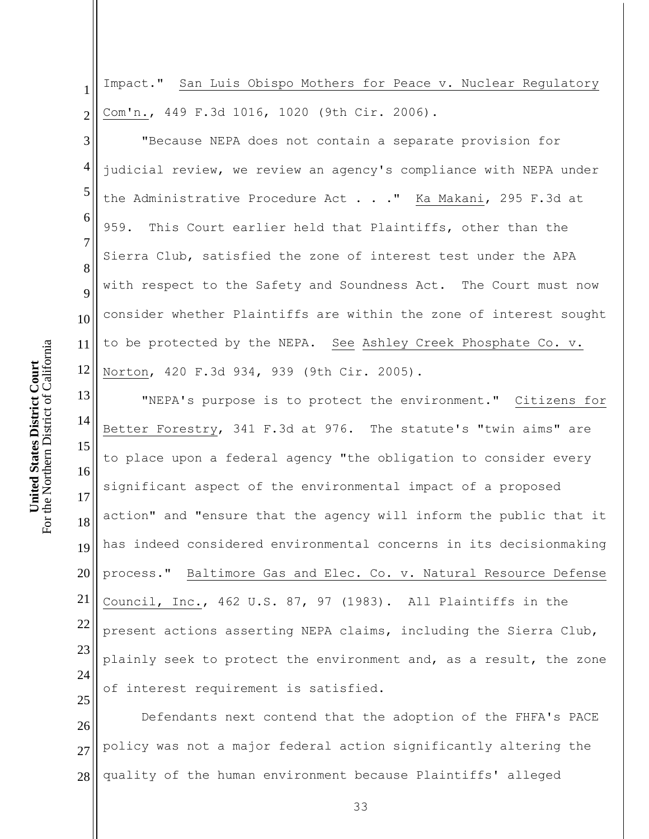1 2 Impact." San Luis Obispo Mothers for Peace v. Nuclear Regulatory Com'n., 449 F.3d 1016, 1020 (9th Cir. 2006).

3 4 5 6 7 8 9 10 11 12 "Because NEPA does not contain a separate provision for judicial review, we review an agency's compliance with NEPA under the Administrative Procedure Act . . ." Ka Makani, 295 F.3d at 959. This Court earlier held that Plaintiffs, other than the Sierra Club, satisfied the zone of interest test under the APA with respect to the Safety and Soundness Act. The Court must now consider whether Plaintiffs are within the zone of interest sought to be protected by the NEPA. See Ashley Creek Phosphate Co. v. Norton, 420 F.3d 934, 939 (9th Cir. 2005).

13 14 15 16 17 18 19 20 21 22 23 24 "NEPA's purpose is to protect the environment." Citizens for Better Forestry, 341 F.3d at 976. The statute's "twin aims" are to place upon a federal agency "the obligation to consider every significant aspect of the environmental impact of a proposed action" and "ensure that the agency will inform the public that it has indeed considered environmental concerns in its decisionmaking process." Baltimore Gas and Elec. Co. v. Natural Resource Defense Council, Inc., 462 U.S. 87, 97 (1983). All Plaintiffs in the present actions asserting NEPA claims, including the Sierra Club, plainly seek to protect the environment and, as a result, the zone of interest requirement is satisfied.

26 27 28 Defendants next contend that the adoption of the FHFA's PACE policy was not a major federal action significantly altering the quality of the human environment because Plaintiffs' alleged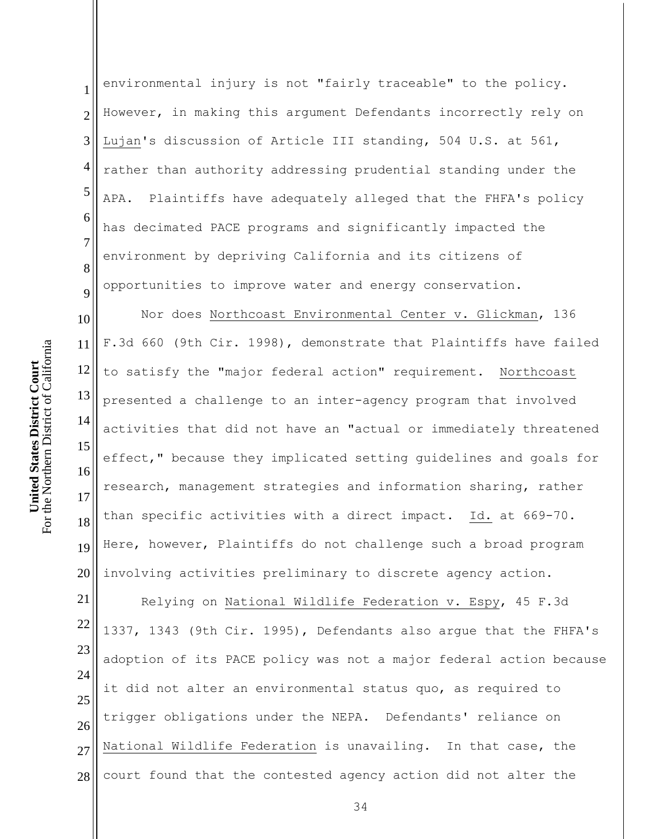1 2 3 4 5 6 7 8 9 10 11 12 13 14 15 16 17 18 19 20 21 environmental injury is not "fairly traceable" to the policy. However, in making this argument Defendants incorrectly rely on Lujan's discussion of Article III standing, 504 U.S. at 561, rather than authority addressing prudential standing under the APA. Plaintiffs have adequately alleged that the FHFA's policy has decimated PACE programs and significantly impacted the environment by depriving California and its citizens of opportunities to improve water and energy conservation. Nor does Northcoast Environmental Center v. Glickman, 136 F.3d 660 (9th Cir. 1998), demonstrate that Plaintiffs have failed to satisfy the "major federal action" requirement. Northcoast presented a challenge to an inter-agency program that involved activities that did not have an "actual or immediately threatened effect," because they implicated setting guidelines and goals for research, management strategies and information sharing, rather than specific activities with a direct impact. Id. at 669-70. Here, however, Plaintiffs do not challenge such a broad program involving activities preliminary to discrete agency action. Relying on National Wildlife Federation v. Espy, 45 F.3d

22 23 24 25 26 27 28 1337, 1343 (9th Cir. 1995), Defendants also argue that the FHFA's adoption of its PACE policy was not a major federal action because it did not alter an environmental status quo, as required to trigger obligations under the NEPA. Defendants' reliance on National Wildlife Federation is unavailing. In that case, the court found that the contested agency action did not alter the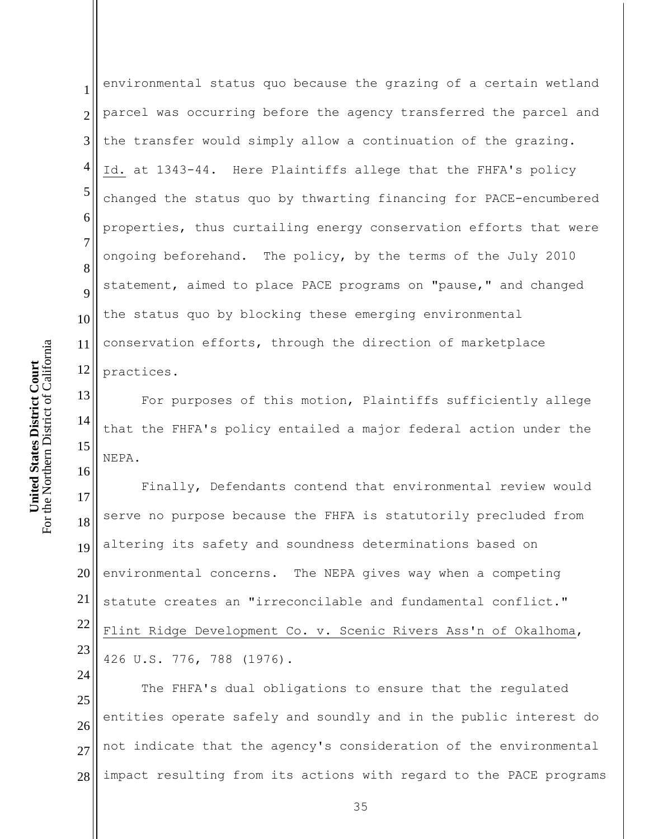1 2 3 4 5 6 7 8 9 10 11 12 environmental status quo because the grazing of a certain wetland parcel was occurring before the agency transferred the parcel and the transfer would simply allow a continuation of the grazing. Id. at 1343-44. Here Plaintiffs allege that the FHFA's policy changed the status quo by thwarting financing for PACE-encumbered properties, thus curtailing energy conservation efforts that were ongoing beforehand. The policy, by the terms of the July 2010 statement, aimed to place PACE programs on "pause," and changed the status quo by blocking these emerging environmental conservation efforts, through the direction of marketplace practices.

13 14 15 For purposes of this motion, Plaintiffs sufficiently allege that the FHFA's policy entailed a major federal action under the NEPA.

17 18 19 20 21 22 23 Finally, Defendants contend that environmental review would serve no purpose because the FHFA is statutorily precluded from altering its safety and soundness determinations based on environmental concerns. The NEPA gives way when a competing statute creates an "irreconcilable and fundamental conflict." Flint Ridge Development Co. v. Scenic Rivers Ass'n of Okalhoma, 426 U.S. 776, 788 (1976).

25 26 27 28 The FHFA's dual obligations to ensure that the regulated entities operate safely and soundly and in the public interest do not indicate that the agency's consideration of the environmental impact resulting from its actions with regard to the PACE programs

16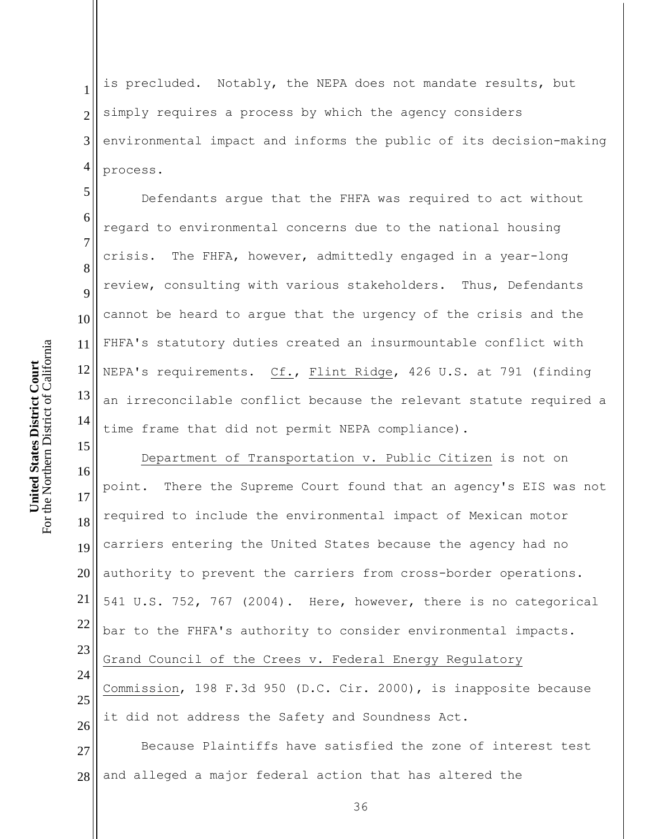7

10

11

15

1 2 3 4 is precluded. Notably, the NEPA does not mandate results, but simply requires a process by which the agency considers environmental impact and informs the public of its decision-making process.

5 6 8 9 12 13 14 Defendants argue that the FHFA was required to act without regard to environmental concerns due to the national housing crisis. The FHFA, however, admittedly engaged in a year-long review, consulting with various stakeholders. Thus, Defendants cannot be heard to argue that the urgency of the crisis and the FHFA's statutory duties created an insurmountable conflict with NEPA's requirements. Cf., Flint Ridge, 426 U.S. at 791 (finding an irreconcilable conflict because the relevant statute required a time frame that did not permit NEPA compliance).

16 17 18 19 20 21 22 23 24 25 26 Department of Transportation v. Public Citizen is not on point. There the Supreme Court found that an agency's EIS was not required to include the environmental impact of Mexican motor carriers entering the United States because the agency had no authority to prevent the carriers from cross-border operations. 541 U.S. 752, 767 (2004). Here, however, there is no categorical bar to the FHFA's authority to consider environmental impacts. Grand Council of the Crees v. Federal Energy Regulatory Commission, 198 F.3d 950 (D.C. Cir. 2000), is inapposite because it did not address the Safety and Soundness Act.

27 28 Because Plaintiffs have satisfied the zone of interest test and alleged a major federal action that has altered the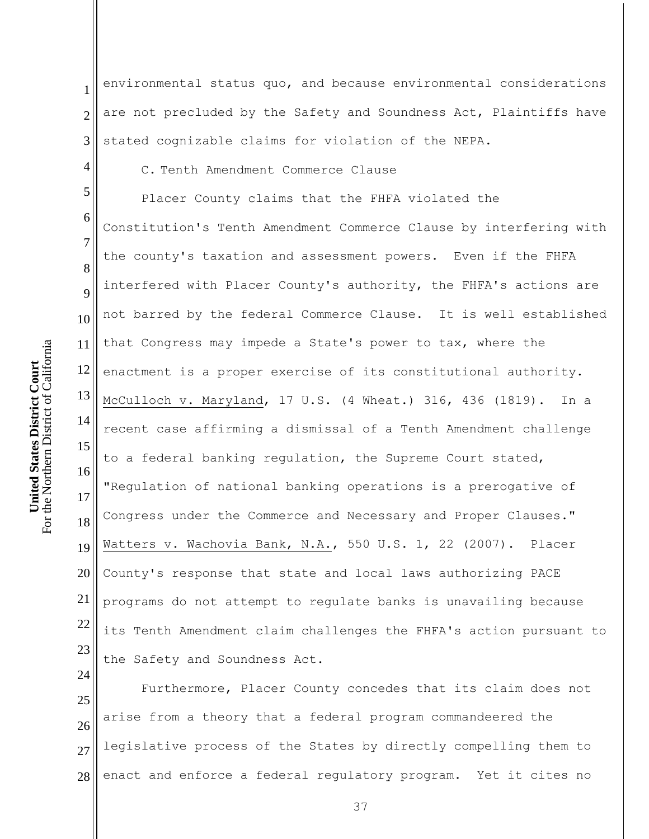24

4

1 2 3 environmental status quo, and because environmental considerations are not precluded by the Safety and Soundness Act, Plaintiffs have stated cognizable claims for violation of the NEPA.

C. Tenth Amendment Commerce Clause

5 6 7 8 9 10 11 12 13 14 15 16 17 18 19 20 21 22 23 Placer County claims that the FHFA violated the Constitution's Tenth Amendment Commerce Clause by interfering with the county's taxation and assessment powers. Even if the FHFA interfered with Placer County's authority, the FHFA's actions are not barred by the federal Commerce Clause. It is well established that Congress may impede a State's power to tax, where the enactment is a proper exercise of its constitutional authority. McCulloch v. Maryland, 17 U.S. (4 Wheat.) 316, 436 (1819). In a recent case affirming a dismissal of a Tenth Amendment challenge to a federal banking regulation, the Supreme Court stated, "Regulation of national banking operations is a prerogative of Congress under the Commerce and Necessary and Proper Clauses." Watters v. Wachovia Bank, N.A., 550 U.S. 1, 22 (2007). Placer County's response that state and local laws authorizing PACE programs do not attempt to regulate banks is unavailing because its Tenth Amendment claim challenges the FHFA's action pursuant to the Safety and Soundness Act.

25 26 27 28 Furthermore, Placer County concedes that its claim does not arise from a theory that a federal program commandeered the legislative process of the States by directly compelling them to enact and enforce a federal regulatory program. Yet it cites no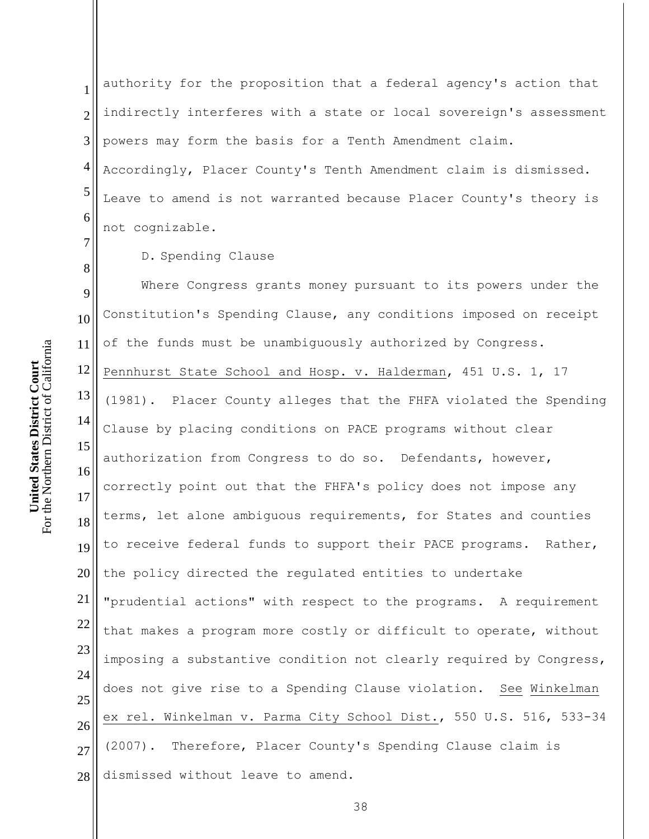1 2 3 4 5 6 authority for the proposition that a federal agency's action that indirectly interferes with a state or local sovereign's assessment powers may form the basis for a Tenth Amendment claim. Accordingly, Placer County's Tenth Amendment claim is dismissed. Leave to amend is not warranted because Placer County's theory is not cognizable.

D. Spending Clause

9 10 11 12 13 14 15 16 17 18 19 20 21 22 23 24 25 26 27 28 Where Congress grants money pursuant to its powers under the Constitution's Spending Clause, any conditions imposed on receipt of the funds must be unambiguously authorized by Congress. Pennhurst State School and Hosp. v. Halderman, 451 U.S. 1, 17 (1981). Placer County alleges that the FHFA violated the Spending Clause by placing conditions on PACE programs without clear authorization from Congress to do so. Defendants, however, correctly point out that the FHFA's policy does not impose any terms, let alone ambiguous requirements, for States and counties to receive federal funds to support their PACE programs. Rather, the policy directed the regulated entities to undertake "prudential actions" with respect to the programs. A requirement that makes a program more costly or difficult to operate, without imposing a substantive condition not clearly required by Congress, does not give rise to a Spending Clause violation. See Winkelman ex rel. Winkelman v. Parma City School Dist., 550 U.S. 516, 533-34 (2007). Therefore, Placer County's Spending Clause claim is dismissed without leave to amend.

For the Northern District of California For the Northern District of California **United States District Court United States District Court**

7

8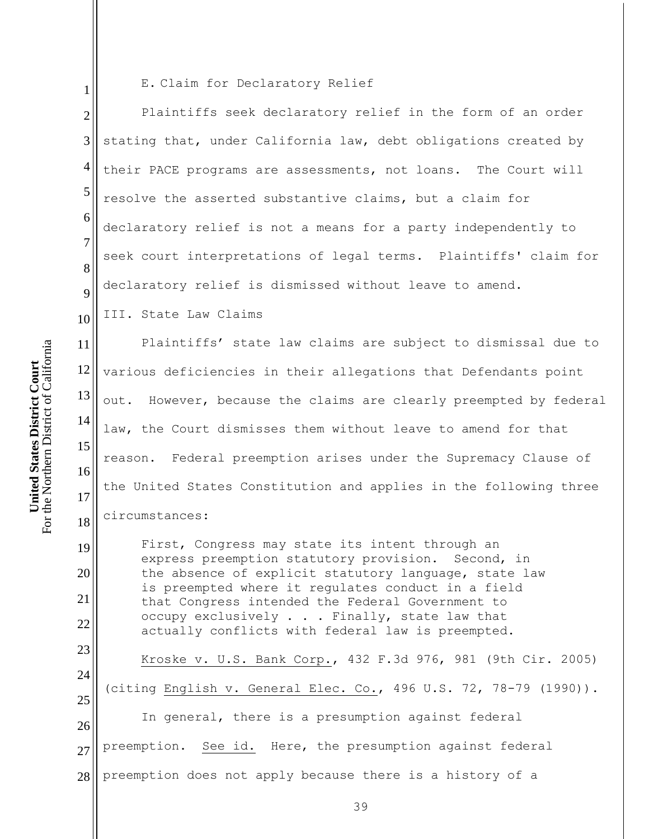19

20

21

22

23

1

E. Claim for Declaratory Relief

2 3 4 5 6 7 8 9 Plaintiffs seek declaratory relief in the form of an order stating that, under California law, debt obligations created by their PACE programs are assessments, not loans. The Court will resolve the asserted substantive claims, but a claim for declaratory relief is not a means for a party independently to seek court interpretations of legal terms. Plaintiffs' claim for declaratory relief is dismissed without leave to amend.

10 III. State Law Claims

11 12 13 14 15 16 17 18 Plaintiffs' state law claims are subject to dismissal due to various deficiencies in their allegations that Defendants point out. However, because the claims are clearly preempted by federal law, the Court dismisses them without leave to amend for that reason. Federal preemption arises under the Supremacy Clause of the United States Constitution and applies in the following three circumstances:

First, Congress may state its intent through an express preemption statutory provision. Second, in the absence of explicit statutory language, state law is preempted where it regulates conduct in a field that Congress intended the Federal Government to occupy exclusively . . . Finally, state law that actually conflicts with federal law is preempted.

24 25 26 27 28 Kroske v. U.S. Bank Corp., 432 F.3d 976, 981 (9th Cir. 2005) (citing English v. General Elec. Co., 496 U.S. 72, 78-79 (1990)). In general, there is a presumption against federal preemption. See id. Here, the presumption against federal preemption does not apply because there is a history of a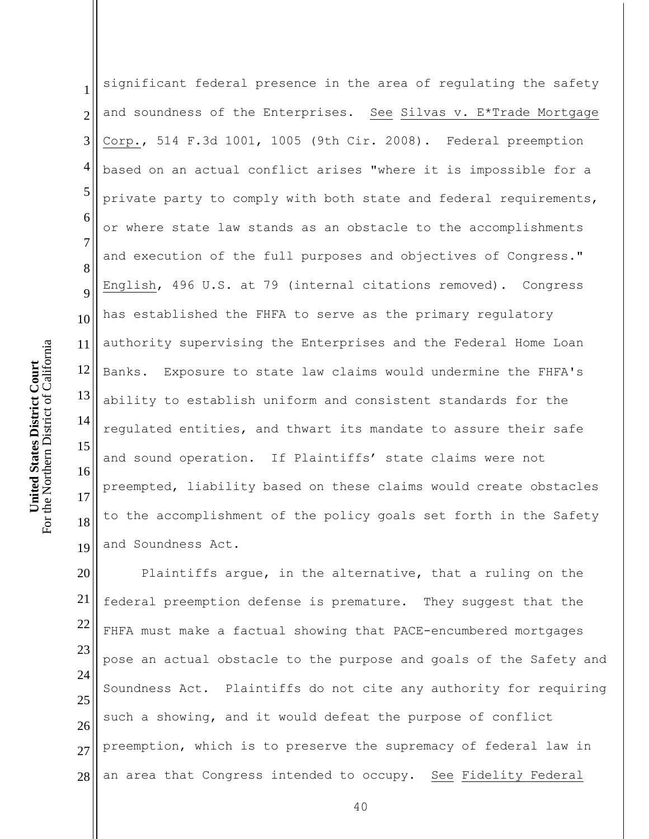1 2 3 4 5 6 7 8 9 10 11 12 13 14 15 16 17 18 19 significant federal presence in the area of regulating the safety and soundness of the Enterprises. See Silvas v. E\*Trade Mortgage Corp., 514 F.3d 1001, 1005 (9th Cir. 2008). Federal preemption based on an actual conflict arises "where it is impossible for a private party to comply with both state and federal requirements, or where state law stands as an obstacle to the accomplishments and execution of the full purposes and objectives of Congress." English, 496 U.S. at 79 (internal citations removed). Congress has established the FHFA to serve as the primary regulatory authority supervising the Enterprises and the Federal Home Loan Banks. Exposure to state law claims would undermine the FHFA's ability to establish uniform and consistent standards for the regulated entities, and thwart its mandate to assure their safe and sound operation. If Plaintiffs' state claims were not preempted, liability based on these claims would create obstacles to the accomplishment of the policy goals set forth in the Safety and Soundness Act.

20 21 22 23 24 25 26 27 28 Plaintiffs argue, in the alternative, that a ruling on the federal preemption defense is premature. They suggest that the FHFA must make a factual showing that PACE-encumbered mortgages pose an actual obstacle to the purpose and goals of the Safety and Soundness Act. Plaintiffs do not cite any authority for requiring such a showing, and it would defeat the purpose of conflict preemption, which is to preserve the supremacy of federal law in an area that Congress intended to occupy. See Fidelity Federal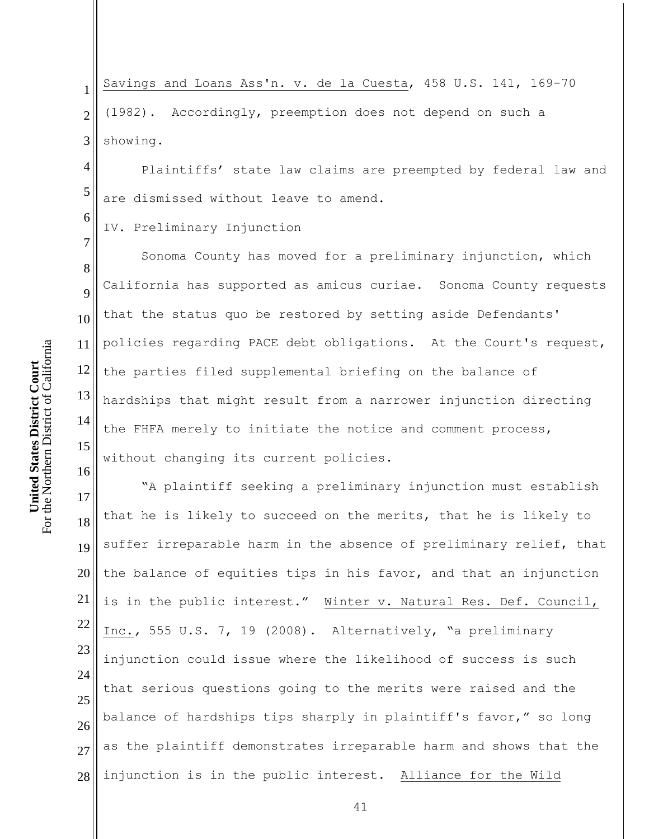1 2 3 Savings and Loans Ass'n. v. de la Cuesta, 458 U.S. 141, 169-70 (1982). Accordingly, preemption does not depend on such a showing.

Plaintiffs' state law claims are preempted by federal law and are dismissed without leave to amend.

IV. Preliminary Injunction

8 9 12 13 14 15 Sonoma County has moved for a preliminary injunction, which California has supported as amicus curiae. Sonoma County requests that the status quo be restored by setting aside Defendants' policies regarding PACE debt obligations. At the Court's request, the parties filed supplemental briefing on the balance of hardships that might result from a narrower injunction directing the FHFA merely to initiate the notice and comment process, without changing its current policies.

17 18 19 20 21 22 23 24 25 26 27 28 "A plaintiff seeking a preliminary injunction must establish that he is likely to succeed on the merits, that he is likely to suffer irreparable harm in the absence of preliminary relief, that the balance of equities tips in his favor, and that an injunction is in the public interest." Winter v. Natural Res. Def. Council, Inc.*,* 555 U.S. 7, 19 (2008). Alternatively, "a preliminary injunction could issue where the likelihood of success is such that serious questions going to the merits were raised and the balance of hardships tips sharply in plaintiff's favor," so long as the plaintiff demonstrates irreparable harm and shows that the injunction is in the public interest. Alliance for the Wild

4

5

6

7

10

11

16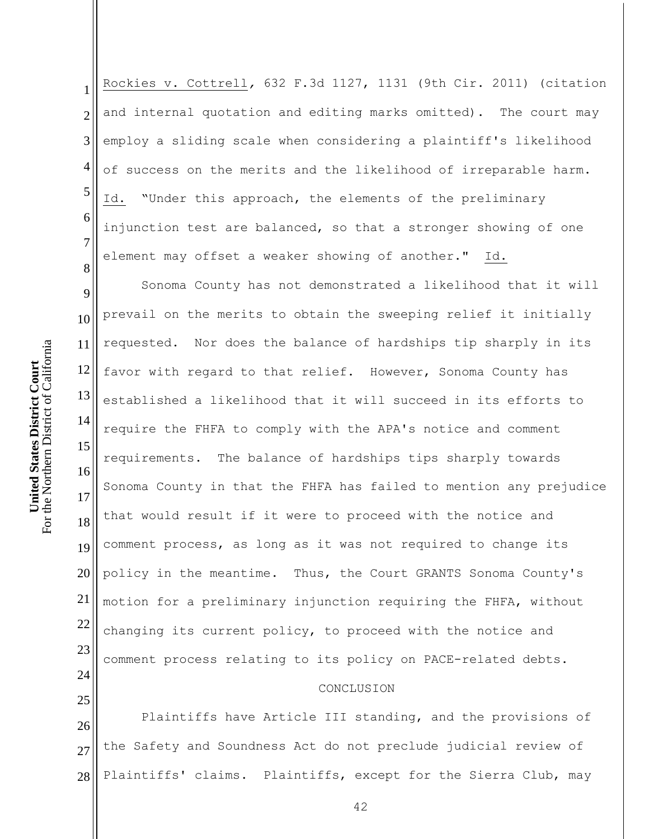1 2 3 4 5 6 7 8 Rockies v. Cottrell*,* 632 F.3d 1127, 1131 (9th Cir. 2011) (citation and internal quotation and editing marks omitted). The court may employ a sliding scale when considering a plaintiff's likelihood of success on the merits and the likelihood of irreparable harm. Id. "Under this approach, the elements of the preliminary injunction test are balanced, so that a stronger showing of one element may offset a weaker showing of another." Id.

9 10 11 12 13 14 15 16 17 18 19 20 21 22 23 24 Sonoma County has not demonstrated a likelihood that it will prevail on the merits to obtain the sweeping relief it initially requested. Nor does the balance of hardships tip sharply in its favor with regard to that relief. However, Sonoma County has established a likelihood that it will succeed in its efforts to require the FHFA to comply with the APA's notice and comment requirements. The balance of hardships tips sharply towards Sonoma County in that the FHFA has failed to mention any prejudice that would result if it were to proceed with the notice and comment process, as long as it was not required to change its policy in the meantime. Thus, the Court GRANTS Sonoma County's motion for a preliminary injunction requiring the FHFA, without changing its current policy, to proceed with the notice and comment process relating to its policy on PACE-related debts.

## CONCLUSION

26 27 28 Plaintiffs have Article III standing, and the provisions of the Safety and Soundness Act do not preclude judicial review of Plaintiffs' claims. Plaintiffs, except for the Sierra Club, may

For the Northern District of California For the Northern District of California **United States District Court United States District Court**